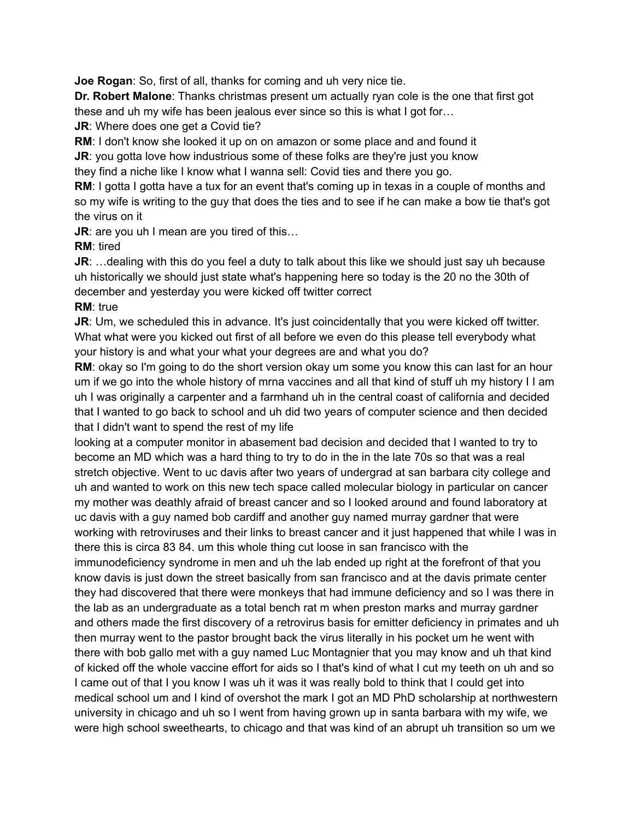**Joe Rogan**: So, first of all, thanks for coming and uh very nice tie.

**Dr. Robert Malone**: Thanks christmas present um actually ryan cole is the one that first got these and uh my wife has been jealous ever since so this is what I got for…

**JR:** Where does one get a Covid tie?

**RM**: I don't know she looked it up on on amazon or some place and and found it

**JR:** you gotta love how industrious some of these folks are they're just you know they find a niche like I know what I wanna sell: Covid ties and there you go.

**RM:** I gotta I gotta have a tux for an event that's coming up in texas in a couple of months and so my wife is writing to the guy that does the ties and to see if he can make a bow tie that's got the virus on it

**JR**: are you uh I mean are you tired of this…

#### **RM**: tired

**JR:** ... dealing with this do you feel a duty to talk about this like we should just say uh because uh historically we should just state what's happening here so today is the 20 no the 30th of december and yesterday you were kicked off twitter correct

## **RM**: true

**JR:** Um, we scheduled this in advance. It's just coincidentally that you were kicked off twitter. What what were you kicked out first of all before we even do this please tell everybody what your history is and what your what your degrees are and what you do?

**RM**: okay so I'm going to do the short version okay um some you know this can last for an hour um if we go into the whole history of mrna vaccines and all that kind of stuff uh my history I I am uh I was originally a carpenter and a farmhand uh in the central coast of california and decided that I wanted to go back to school and uh did two years of computer science and then decided that I didn't want to spend the rest of my life

looking at a computer monitor in abasement bad decision and decided that I wanted to try to become an MD which was a hard thing to try to do in the in the late 70s so that was a real stretch objective. Went to uc davis after two years of undergrad at san barbara city college and uh and wanted to work on this new tech space called molecular biology in particular on cancer my mother was deathly afraid of breast cancer and so I looked around and found laboratory at uc davis with a guy named bob cardiff and another guy named murray gardner that were working with retroviruses and their links to breast cancer and it just happened that while I was in there this is circa 83 84. um this whole thing cut loose in san francisco with the immunodeficiency syndrome in men and uh the lab ended up right at the forefront of that you know davis is just down the street basically from san francisco and at the davis primate center they had discovered that there were monkeys that had immune deficiency and so I was there in the lab as an undergraduate as a total bench rat m when preston marks and murray gardner and others made the first discovery of a retrovirus basis for emitter deficiency in primates and uh then murray went to the pastor brought back the virus literally in his pocket um he went with there with bob gallo met with a guy named Luc Montagnier that you may know and uh that kind of kicked off the whole vaccine effort for aids so I that's kind of what I cut my teeth on uh and so I came out of that I you know I was uh it was it was really bold to think that I could get into medical school um and I kind of overshot the mark I got an MD PhD scholarship at northwestern university in chicago and uh so I went from having grown up in santa barbara with my wife, we were high school sweethearts, to chicago and that was kind of an abrupt uh transition so um we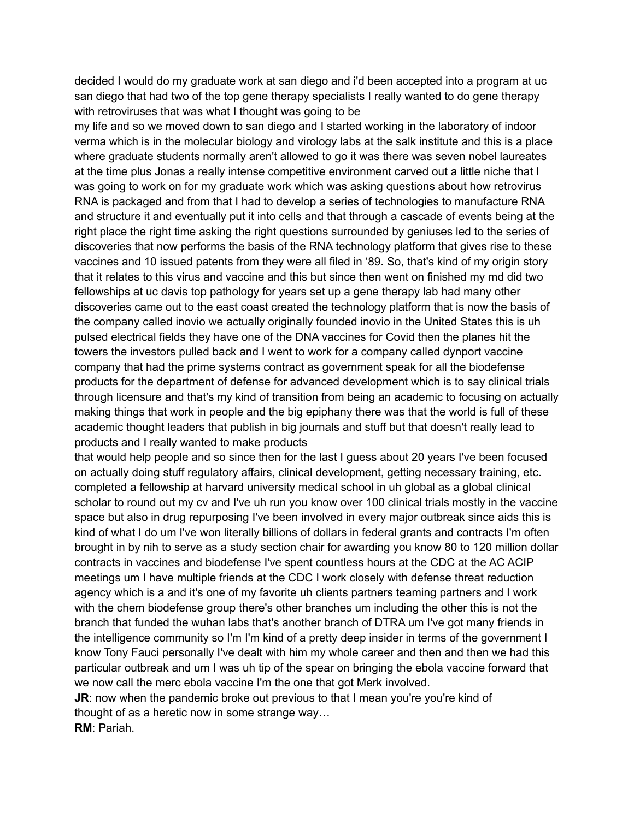decided I would do my graduate work at san diego and i'd been accepted into a program at uc san diego that had two of the top gene therapy specialists I really wanted to do gene therapy with retroviruses that was what I thought was going to be

my life and so we moved down to san diego and I started working in the laboratory of indoor verma which is in the molecular biology and virology labs at the salk institute and this is a place where graduate students normally aren't allowed to go it was there was seven nobel laureates at the time plus Jonas a really intense competitive environment carved out a little niche that I was going to work on for my graduate work which was asking questions about how retrovirus RNA is packaged and from that I had to develop a series of technologies to manufacture RNA and structure it and eventually put it into cells and that through a cascade of events being at the right place the right time asking the right questions surrounded by geniuses led to the series of discoveries that now performs the basis of the RNA technology platform that gives rise to these vaccines and 10 issued patents from they were all filed in '89. So, that's kind of my origin story that it relates to this virus and vaccine and this but since then went on finished my md did two fellowships at uc davis top pathology for years set up a gene therapy lab had many other discoveries came out to the east coast created the technology platform that is now the basis of the company called inovio we actually originally founded inovio in the United States this is uh pulsed electrical fields they have one of the DNA vaccines for Covid then the planes hit the towers the investors pulled back and I went to work for a company called dynport vaccine company that had the prime systems contract as government speak for all the biodefense products for the department of defense for advanced development which is to say clinical trials through licensure and that's my kind of transition from being an academic to focusing on actually making things that work in people and the big epiphany there was that the world is full of these academic thought leaders that publish in big journals and stuff but that doesn't really lead to products and I really wanted to make products

that would help people and so since then for the last I guess about 20 years I've been focused on actually doing stuff regulatory affairs, clinical development, getting necessary training, etc. completed a fellowship at harvard university medical school in uh global as a global clinical scholar to round out my cv and I've uh run you know over 100 clinical trials mostly in the vaccine space but also in drug repurposing I've been involved in every major outbreak since aids this is kind of what I do um I've won literally billions of dollars in federal grants and contracts I'm often brought in by nih to serve as a study section chair for awarding you know 80 to 120 million dollar contracts in vaccines and biodefense I've spent countless hours at the CDC at the AC ACIP meetings um I have multiple friends at the CDC I work closely with defense threat reduction agency which is a and it's one of my favorite uh clients partners teaming partners and I work with the chem biodefense group there's other branches um including the other this is not the branch that funded the wuhan labs that's another branch of DTRA um I've got many friends in the intelligence community so I'm I'm kind of a pretty deep insider in terms of the government I know Tony Fauci personally I've dealt with him my whole career and then and then we had this particular outbreak and um I was uh tip of the spear on bringing the ebola vaccine forward that we now call the merc ebola vaccine I'm the one that got Merk involved.

**JR:** now when the pandemic broke out previous to that I mean you're you're kind of thought of as a heretic now in some strange way… **RM**: Pariah.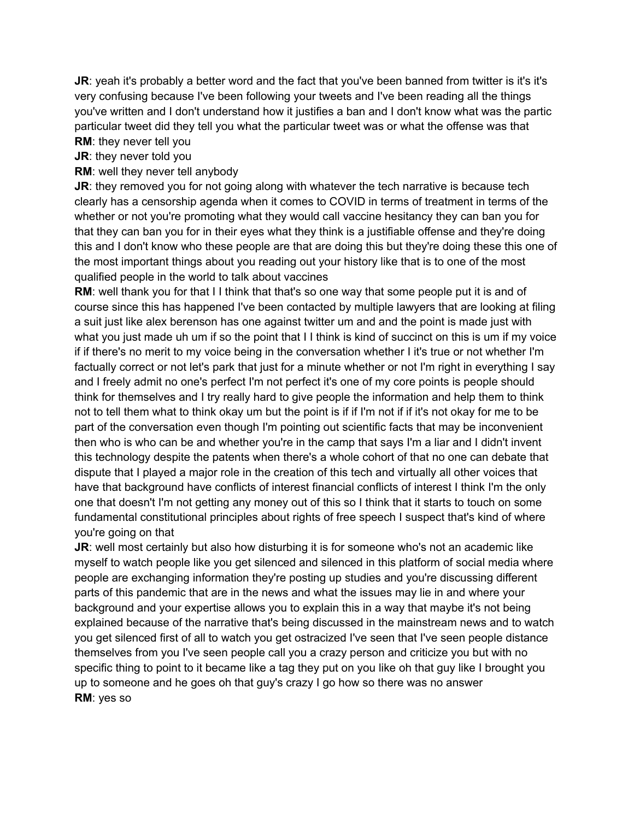**JR:** yeah it's probably a better word and the fact that you've been banned from twitter is it's it's very confusing because I've been following your tweets and I've been reading all the things you've written and I don't understand how it justifies a ban and I don't know what was the partic particular tweet did they tell you what the particular tweet was or what the offense was that **RM**: they never tell you

# **JR**: they never told you

#### **RM**: well they never tell anybody

**JR:** they removed you for not going along with whatever the tech narrative is because tech clearly has a censorship agenda when it comes to COVID in terms of treatment in terms of the whether or not you're promoting what they would call vaccine hesitancy they can ban you for that they can ban you for in their eyes what they think is a justifiable offense and they're doing this and I don't know who these people are that are doing this but they're doing these this one of the most important things about you reading out your history like that is to one of the most qualified people in the world to talk about vaccines

**RM:** well thank you for that I I think that that's so one way that some people put it is and of course since this has happened I've been contacted by multiple lawyers that are looking at filing a suit just like alex berenson has one against twitter um and and the point is made just with what you just made uh um if so the point that I I think is kind of succinct on this is um if my voice if if there's no merit to my voice being in the conversation whether I it's true or not whether I'm factually correct or not let's park that just for a minute whether or not I'm right in everything I say and I freely admit no one's perfect I'm not perfect it's one of my core points is people should think for themselves and I try really hard to give people the information and help them to think not to tell them what to think okay um but the point is if if I'm not if if it's not okay for me to be part of the conversation even though I'm pointing out scientific facts that may be inconvenient then who is who can be and whether you're in the camp that says I'm a liar and I didn't invent this technology despite the patents when there's a whole cohort of that no one can debate that dispute that I played a major role in the creation of this tech and virtually all other voices that have that background have conflicts of interest financial conflicts of interest I think I'm the only one that doesn't I'm not getting any money out of this so I think that it starts to touch on some fundamental constitutional principles about rights of free speech I suspect that's kind of where you're going on that

**JR:** well most certainly but also how disturbing it is for someone who's not an academic like myself to watch people like you get silenced and silenced in this platform of social media where people are exchanging information they're posting up studies and you're discussing different parts of this pandemic that are in the news and what the issues may lie in and where your background and your expertise allows you to explain this in a way that maybe it's not being explained because of the narrative that's being discussed in the mainstream news and to watch you get silenced first of all to watch you get ostracized I've seen that I've seen people distance themselves from you I've seen people call you a crazy person and criticize you but with no specific thing to point to it became like a tag they put on you like oh that guy like I brought you up to someone and he goes oh that guy's crazy I go how so there was no answer **RM**: yes so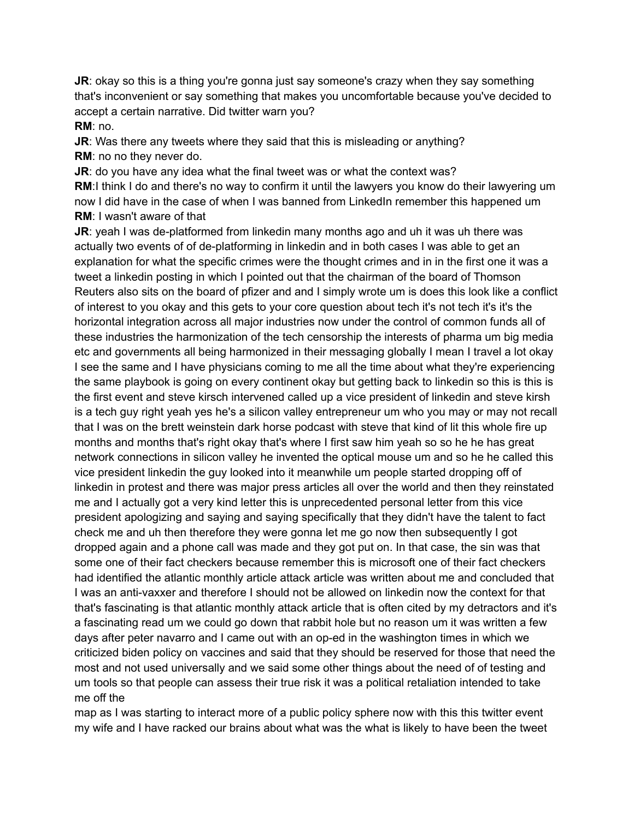**JR:** okay so this is a thing you're gonna just say someone's crazy when they say something that's inconvenient or say something that makes you uncomfortable because you've decided to accept a certain narrative. Did twitter warn you? **RM**: no.

**JR:** Was there any tweets where they said that this is misleading or anything? **RM**: no no they never do.

**JR:** do you have any idea what the final tweet was or what the context was? **RM:I** think I do and there's no way to confirm it until the lawyers you know do their lawyering um now I did have in the case of when I was banned from LinkedIn remember this happened um **RM**: I wasn't aware of that

**JR**: yeah I was de-platformed from linkedin many months ago and uh it was uh there was actually two events of of de-platforming in linkedin and in both cases I was able to get an explanation for what the specific crimes were the thought crimes and in in the first one it was a tweet a linkedin posting in which I pointed out that the chairman of the board of Thomson Reuters also sits on the board of pfizer and and I simply wrote um is does this look like a conflict of interest to you okay and this gets to your core question about tech it's not tech it's it's the horizontal integration across all major industries now under the control of common funds all of these industries the harmonization of the tech censorship the interests of pharma um big media etc and governments all being harmonized in their messaging globally I mean I travel a lot okay I see the same and I have physicians coming to me all the time about what they're experiencing the same playbook is going on every continent okay but getting back to linkedin so this is this is the first event and steve kirsch intervened called up a vice president of linkedin and steve kirsh is a tech guy right yeah yes he's a silicon valley entrepreneur um who you may or may not recall that I was on the brett weinstein dark horse podcast with steve that kind of lit this whole fire up months and months that's right okay that's where I first saw him yeah so so he he has great network connections in silicon valley he invented the optical mouse um and so he he called this vice president linkedin the guy looked into it meanwhile um people started dropping off of linkedin in protest and there was major press articles all over the world and then they reinstated me and I actually got a very kind letter this is unprecedented personal letter from this vice president apologizing and saying and saying specifically that they didn't have the talent to fact check me and uh then therefore they were gonna let me go now then subsequently I got dropped again and a phone call was made and they got put on. In that case, the sin was that some one of their fact checkers because remember this is microsoft one of their fact checkers had identified the atlantic monthly article attack article was written about me and concluded that I was an anti-vaxxer and therefore I should not be allowed on linkedin now the context for that that's fascinating is that atlantic monthly attack article that is often cited by my detractors and it's a fascinating read um we could go down that rabbit hole but no reason um it was written a few days after peter navarro and I came out with an op-ed in the washington times in which we criticized biden policy on vaccines and said that they should be reserved for those that need the most and not used universally and we said some other things about the need of of testing and um tools so that people can assess their true risk it was a political retaliation intended to take me off the

map as I was starting to interact more of a public policy sphere now with this this twitter event my wife and I have racked our brains about what was the what is likely to have been the tweet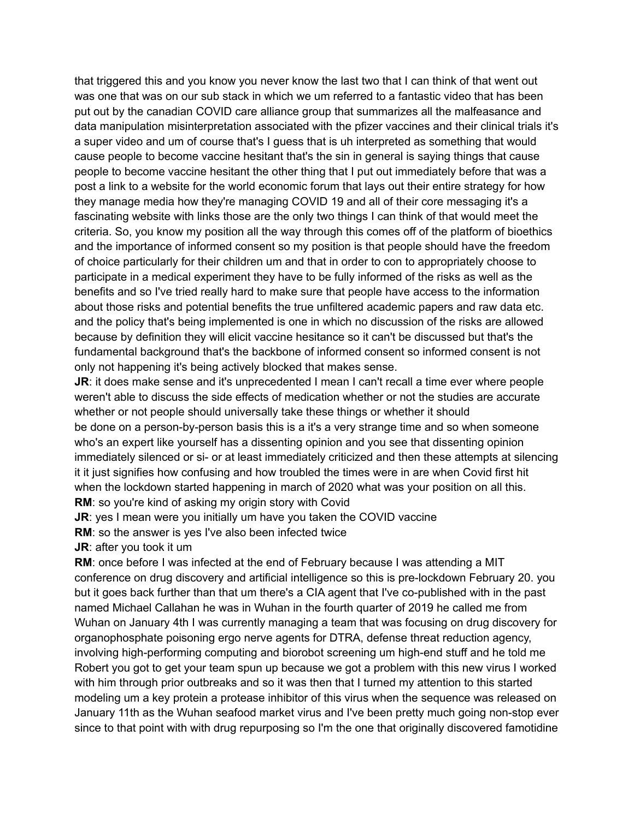that triggered this and you know you never know the last two that I can think of that went out was one that was on our sub stack in which we um referred to a fantastic video that has been put out by the canadian COVID care alliance group that summarizes all the malfeasance and data manipulation misinterpretation associated with the pfizer vaccines and their clinical trials it's a super video and um of course that's I guess that is uh interpreted as something that would cause people to become vaccine hesitant that's the sin in general is saying things that cause people to become vaccine hesitant the other thing that I put out immediately before that was a post a link to a website for the world economic forum that lays out their entire strategy for how they manage media how they're managing COVID 19 and all of their core messaging it's a fascinating website with links those are the only two things I can think of that would meet the criteria. So, you know my position all the way through this comes off of the platform of bioethics and the importance of informed consent so my position is that people should have the freedom of choice particularly for their children um and that in order to con to appropriately choose to participate in a medical experiment they have to be fully informed of the risks as well as the benefits and so I've tried really hard to make sure that people have access to the information about those risks and potential benefits the true unfiltered academic papers and raw data etc. and the policy that's being implemented is one in which no discussion of the risks are allowed because by definition they will elicit vaccine hesitance so it can't be discussed but that's the fundamental background that's the backbone of informed consent so informed consent is not only not happening it's being actively blocked that makes sense.

**JR:** it does make sense and it's unprecedented I mean I can't recall a time ever where people weren't able to discuss the side effects of medication whether or not the studies are accurate whether or not people should universally take these things or whether it should be done on a person-by-person basis this is a it's a very strange time and so when someone who's an expert like yourself has a dissenting opinion and you see that dissenting opinion immediately silenced or si- or at least immediately criticized and then these attempts at silencing it it just signifies how confusing and how troubled the times were in are when Covid first hit when the lockdown started happening in march of 2020 what was your position on all this. **RM**: so you're kind of asking my origin story with Covid

**JR:** yes I mean were you initially um have you taken the COVID vaccine

**RM**: so the answer is yes I've also been infected twice

**JR**: after you took it um

**RM**: once before I was infected at the end of February because I was attending a MIT conference on drug discovery and artificial intelligence so this is pre-lockdown February 20. you but it goes back further than that um there's a CIA agent that I've co-published with in the past named Michael Callahan he was in Wuhan in the fourth quarter of 2019 he called me from Wuhan on January 4th I was currently managing a team that was focusing on drug discovery for organophosphate poisoning ergo nerve agents for DTRA, defense threat reduction agency, involving high-performing computing and biorobot screening um high-end stuff and he told me Robert you got to get your team spun up because we got a problem with this new virus I worked with him through prior outbreaks and so it was then that I turned my attention to this started modeling um a key protein a protease inhibitor of this virus when the sequence was released on January 11th as the Wuhan seafood market virus and I've been pretty much going non-stop ever since to that point with with drug repurposing so I'm the one that originally discovered famotidine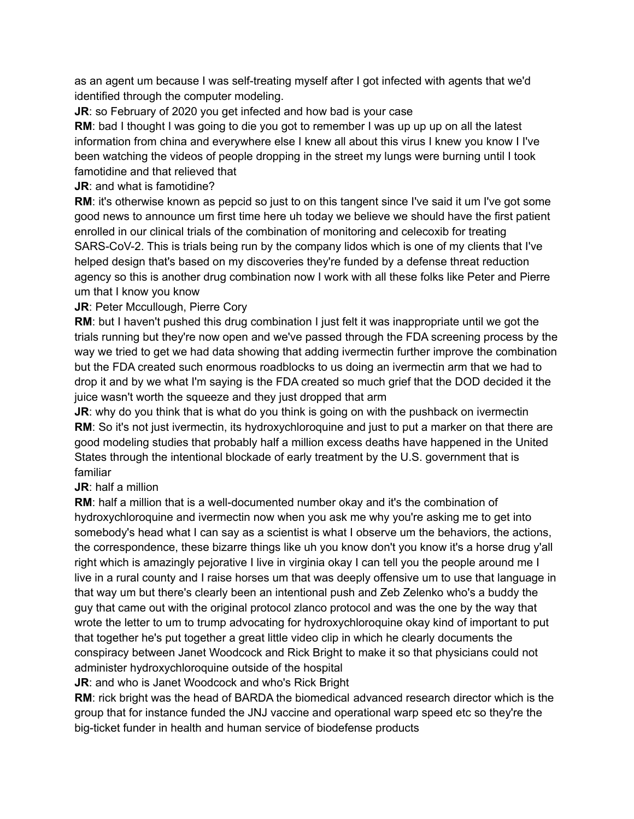as an agent um because I was self-treating myself after I got infected with agents that we'd identified through the computer modeling.

**JR:** so February of 2020 you get infected and how bad is your case

**RM**: bad I thought I was going to die you got to remember I was up up up on all the latest information from china and everywhere else I knew all about this virus I knew you know I I've been watching the videos of people dropping in the street my lungs were burning until I took famotidine and that relieved that

## **JR**: and what is famotidine?

**RM**: it's otherwise known as pepcid so just to on this tangent since I've said it um I've got some good news to announce um first time here uh today we believe we should have the first patient enrolled in our clinical trials of the combination of monitoring and celecoxib for treating SARS-CoV-2. This is trials being run by the company lidos which is one of my clients that I've helped design that's based on my discoveries they're funded by a defense threat reduction agency so this is another drug combination now I work with all these folks like Peter and Pierre um that I know you know

## **JR: Peter Mccullough, Pierre Cory**

**RM:** but I haven't pushed this drug combination I just felt it was inappropriate until we got the trials running but they're now open and we've passed through the FDA screening process by the way we tried to get we had data showing that adding ivermectin further improve the combination but the FDA created such enormous roadblocks to us doing an ivermectin arm that we had to drop it and by we what I'm saying is the FDA created so much grief that the DOD decided it the juice wasn't worth the squeeze and they just dropped that arm

**JR:** why do you think that is what do you think is going on with the pushback on ivermectin **RM:** So it's not just ivermectin, its hydroxychloroquine and just to put a marker on that there are good modeling studies that probably half a million excess deaths have happened in the United States through the intentional blockade of early treatment by the U.S. government that is familiar

## **JR**: half a million

**RM**: half a million that is a well-documented number okay and it's the combination of hydroxychloroquine and ivermectin now when you ask me why you're asking me to get into somebody's head what I can say as a scientist is what I observe um the behaviors, the actions, the correspondence, these bizarre things like uh you know don't you know it's a horse drug y'all right which is amazingly pejorative I live in virginia okay I can tell you the people around me I live in a rural county and I raise horses um that was deeply offensive um to use that language in that way um but there's clearly been an intentional push and Zeb Zelenko who's a buddy the guy that came out with the original protocol zlanco protocol and was the one by the way that wrote the letter to um to trump advocating for hydroxychloroquine okay kind of important to put that together he's put together a great little video clip in which he clearly documents the conspiracy between Janet Woodcock and Rick Bright to make it so that physicians could not administer hydroxychloroquine outside of the hospital

**JR**: and who is Janet Woodcock and who's Rick Bright

**RM**: rick bright was the head of BARDA the biomedical advanced research director which is the group that for instance funded the JNJ vaccine and operational warp speed etc so they're the big-ticket funder in health and human service of biodefense products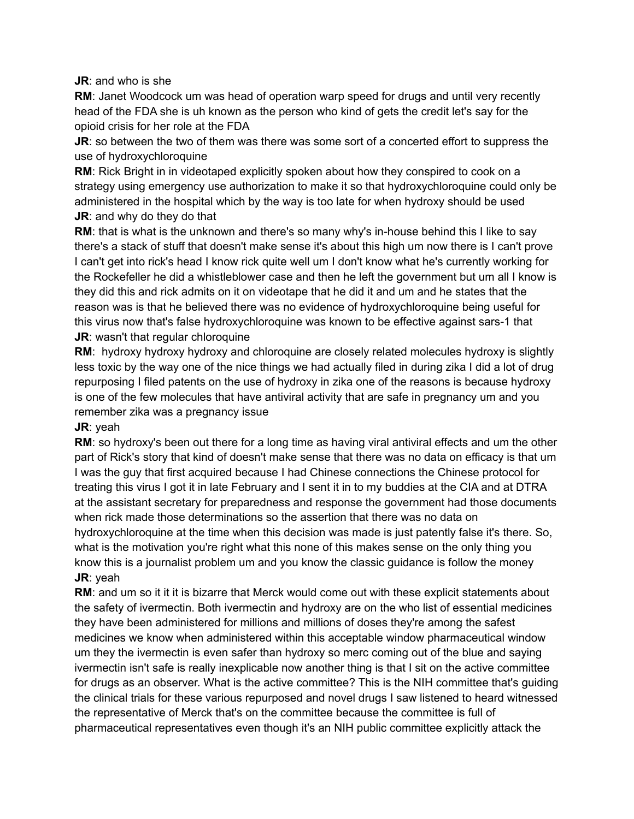**JR**: and who is she

**RM**: Janet Woodcock um was head of operation warp speed for drugs and until very recently head of the FDA she is uh known as the person who kind of gets the credit let's say for the opioid crisis for her role at the FDA

**JR**: so between the two of them was there was some sort of a concerted effort to suppress the use of hydroxychloroquine

**RM**: Rick Bright in in videotaped explicitly spoken about how they conspired to cook on a strategy using emergency use authorization to make it so that hydroxychloroquine could only be administered in the hospital which by the way is too late for when hydroxy should be used **JR**: and why do they do that

**RM**: that is what is the unknown and there's so many why's in-house behind this I like to say there's a stack of stuff that doesn't make sense it's about this high um now there is I can't prove I can't get into rick's head I know rick quite well um I don't know what he's currently working for the Rockefeller he did a whistleblower case and then he left the government but um all I know is they did this and rick admits on it on videotape that he did it and um and he states that the reason was is that he believed there was no evidence of hydroxychloroquine being useful for this virus now that's false hydroxychloroquine was known to be effective against sars-1 that **JR:** wasn't that regular chloroquine

**RM**: hydroxy hydroxy hydroxy and chloroquine are closely related molecules hydroxy is slightly less toxic by the way one of the nice things we had actually filed in during zika I did a lot of drug repurposing I filed patents on the use of hydroxy in zika one of the reasons is because hydroxy is one of the few molecules that have antiviral activity that are safe in pregnancy um and you remember zika was a pregnancy issue

#### **JR**: yeah

**RM**: so hydroxy's been out there for a long time as having viral antiviral effects and um the other part of Rick's story that kind of doesn't make sense that there was no data on efficacy is that um I was the guy that first acquired because I had Chinese connections the Chinese protocol for treating this virus I got it in late February and I sent it in to my buddies at the CIA and at DTRA at the assistant secretary for preparedness and response the government had those documents when rick made those determinations so the assertion that there was no data on hydroxychloroquine at the time when this decision was made is just patently false it's there. So, what is the motivation you're right what this none of this makes sense on the only thing you know this is a journalist problem um and you know the classic guidance is follow the money **JR**: yeah

**RM:** and um so it it it is bizarre that Merck would come out with these explicit statements about the safety of ivermectin. Both ivermectin and hydroxy are on the who list of essential medicines they have been administered for millions and millions of doses they're among the safest medicines we know when administered within this acceptable window pharmaceutical window um they the ivermectin is even safer than hydroxy so merc coming out of the blue and saying ivermectin isn't safe is really inexplicable now another thing is that I sit on the active committee for drugs as an observer. What is the active committee? This is the NIH committee that's guiding the clinical trials for these various repurposed and novel drugs I saw listened to heard witnessed the representative of Merck that's on the committee because the committee is full of pharmaceutical representatives even though it's an NIH public committee explicitly attack the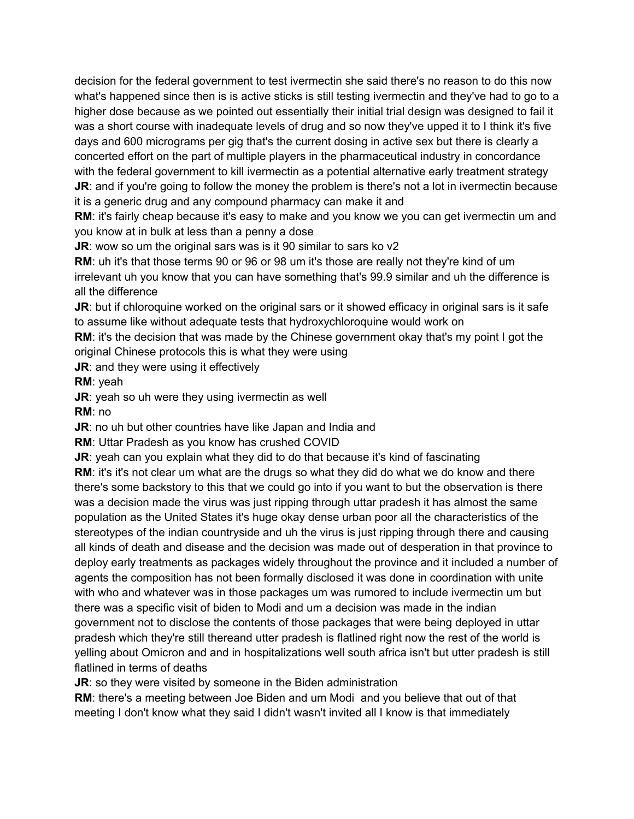decision for the federal government to test ivermectin she said there's no reason to do this now what's happened since then is is active sticks is still testing ivermectin and they've had to go to a higher dose because as we pointed out essentially their initial trial design was designed to fail it was a short course with inadequate levels of drug and so now they've upped it to I think it's five days and 600 micrograms per gig that's the current dosing in active sex but there is clearly a concerted effort on the part of multiple players in the pharmaceutical industry in concordance with the federal government to kill ivermectin as a potential alternative early treatment strategy **JR:** and if you're going to follow the money the problem is there's not a lot in ivermectin because it is a generic drug and any compound pharmacy can make it and

**RM:** it's fairly cheap because it's easy to make and you know we you can get ivermectin um and you know at in bulk at less than a penny a dose

**JR:** wow so um the original sars was is it 90 similar to sars ko v2

**RM**: uh it's that those terms 90 or 96 or 98 um it's those are really not they're kind of um irrelevant uh you know that you can have something that's 99.9 similar and uh the difference is all the difference

**JR**: but if chloroquine worked on the original sars or it showed efficacy in original sars is it safe to assume like without adequate tests that hydroxychloroquine would work on

**RM:** it's the decision that was made by the Chinese government okay that's my point I got the original Chinese protocols this is what they were using

**JR:** and they were using it effectively

**RM**: yeah

**JR**: yeah so uh were they using ivermectin as well

**RM**: no

**JR**: no uh but other countries have like Japan and India and

**RM**: Uttar Pradesh as you know has crushed COVID

**JR**: yeah can you explain what they did to do that because it's kind of fascinating

**RM:** it's it's not clear um what are the drugs so what they did do what we do know and there there's some backstory to this that we could go into if you want to but the observation is there was a decision made the virus was just ripping through uttar pradesh it has almost the same population as the United States it's huge okay dense urban poor all the characteristics of the stereotypes of the indian countryside and uh the virus is just ripping through there and causing all kinds of death and disease and the decision was made out of desperation in that province to deploy early treatments as packages widely throughout the province and it included a number of agents the composition has not been formally disclosed it was done in coordination with unite with who and whatever was in those packages um was rumored to include ivermectin um but there was a specific visit of biden to Modi and um a decision was made in the indian government not to disclose the contents of those packages that were being deployed in uttar pradesh which they're still thereand utter pradesh is flatlined right now the rest of the world is yelling about Omicron and and in hospitalizations well south africa isn't but utter pradesh is still flatlined in terms of deaths

**JR:** so they were visited by someone in the Biden administration

**RM**: there's a meeting between Joe Biden and um Modi and you believe that out of that meeting I don't know what they said I didn't wasn't invited all I know is that immediately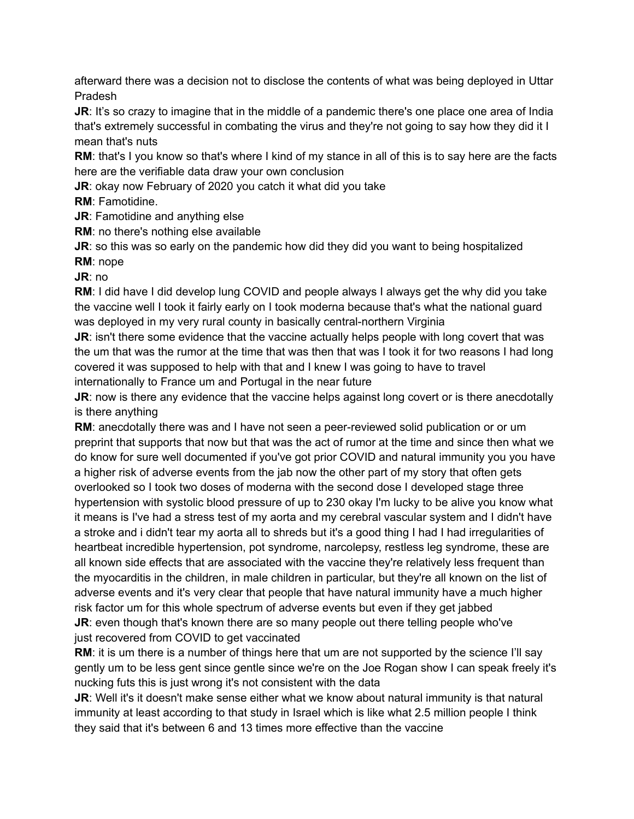afterward there was a decision not to disclose the contents of what was being deployed in Uttar Pradesh

**JR:** It's so crazy to imagine that in the middle of a pandemic there's one place one area of India that's extremely successful in combating the virus and they're not going to say how they did it I mean that's nuts

**RM**: that's I you know so that's where I kind of my stance in all of this is to say here are the facts here are the verifiable data draw your own conclusion

**JR**: okay now February of 2020 you catch it what did you take

**RM**: Famotidine.

**JR**: Famotidine and anything else

**RM**: no there's nothing else available

**JR**: so this was so early on the pandemic how did they did you want to being hospitalized **RM**: nope

**JR**: no

**RM**: I did have I did develop lung COVID and people always I always get the why did you take the vaccine well I took it fairly early on I took moderna because that's what the national guard was deployed in my very rural county in basically central-northern Virginia

**JR**: isn't there some evidence that the vaccine actually helps people with long covert that was the um that was the rumor at the time that was then that was I took it for two reasons I had long covered it was supposed to help with that and I knew I was going to have to travel internationally to France um and Portugal in the near future

**JR:** now is there any evidence that the vaccine helps against long covert or is there anecdotally is there anything

**RM:** anecdotally there was and I have not seen a peer-reviewed solid publication or or um preprint that supports that now but that was the act of rumor at the time and since then what we do know for sure well documented if you've got prior COVID and natural immunity you you have a higher risk of adverse events from the jab now the other part of my story that often gets overlooked so I took two doses of moderna with the second dose I developed stage three hypertension with systolic blood pressure of up to 230 okay I'm lucky to be alive you know what it means is I've had a stress test of my aorta and my cerebral vascular system and I didn't have a stroke and i didn't tear my aorta all to shreds but it's a good thing I had I had irregularities of heartbeat incredible hypertension, pot syndrome, narcolepsy, restless leg syndrome, these are all known side effects that are associated with the vaccine they're relatively less frequent than the myocarditis in the children, in male children in particular, but they're all known on the list of adverse events and it's very clear that people that have natural immunity have a much higher risk factor um for this whole spectrum of adverse events but even if they get jabbed **JR:** even though that's known there are so many people out there telling people who've

just recovered from COVID to get vaccinated

**RM:** it is um there is a number of things here that um are not supported by the science I'll say gently um to be less gent since gentle since we're on the Joe Rogan show I can speak freely it's nucking futs this is just wrong it's not consistent with the data

**JR:** Well it's it doesn't make sense either what we know about natural immunity is that natural immunity at least according to that study in Israel which is like what 2.5 million people I think they said that it's between 6 and 13 times more effective than the vaccine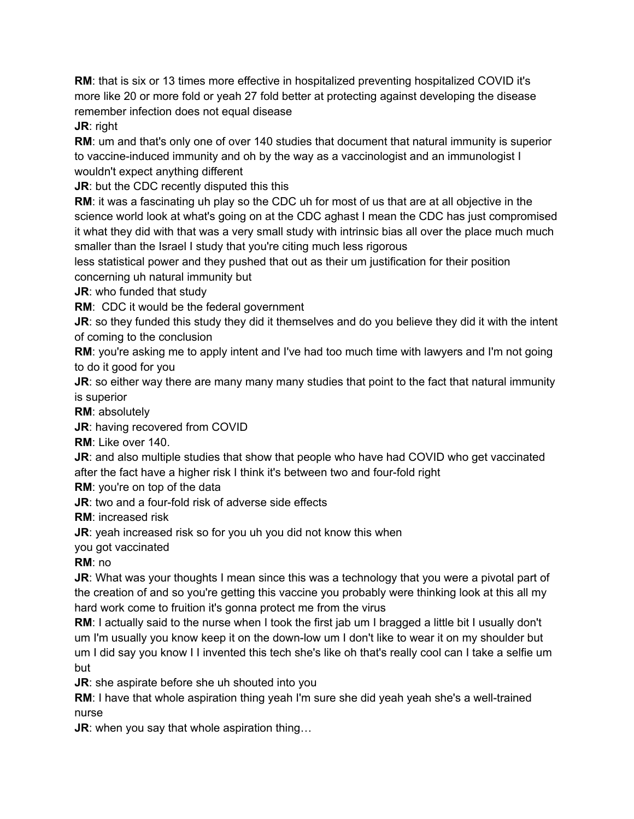**RM**: that is six or 13 times more effective in hospitalized preventing hospitalized COVID it's more like 20 or more fold or yeah 27 fold better at protecting against developing the disease remember infection does not equal disease

**JR**: right

**RM**: um and that's only one of over 140 studies that document that natural immunity is superior to vaccine-induced immunity and oh by the way as a vaccinologist and an immunologist I wouldn't expect anything different

**JR:** but the CDC recently disputed this this

**RM**: it was a fascinating uh play so the CDC uh for most of us that are at all objective in the science world look at what's going on at the CDC aghast I mean the CDC has just compromised it what they did with that was a very small study with intrinsic bias all over the place much much smaller than the Israel I study that you're citing much less rigorous

less statistical power and they pushed that out as their um justification for their position concerning uh natural immunity but

**JR**: who funded that study

**RM**: CDC it would be the federal government

**JR**: so they funded this study they did it themselves and do you believe they did it with the intent of coming to the conclusion

**RM**: you're asking me to apply intent and I've had too much time with lawyers and I'm not going to do it good for you

**JR:** so either way there are many many many studies that point to the fact that natural immunity is superior

**RM**: absolutely

**JR**: having recovered from COVID

**RM**: Like over 140.

**JR**: and also multiple studies that show that people who have had COVID who get vaccinated after the fact have a higher risk I think it's between two and four-fold right

**RM**: you're on top of the data

**JR:** two and a four-fold risk of adverse side effects

**RM**: increased risk

**JR**: yeah increased risk so for you uh you did not know this when

you got vaccinated

**RM**: no

**JR:** What was your thoughts I mean since this was a technology that you were a pivotal part of the creation of and so you're getting this vaccine you probably were thinking look at this all my hard work come to fruition it's gonna protect me from the virus

**RM**: I actually said to the nurse when I took the first jab um I bragged a little bit I usually don't um I'm usually you know keep it on the down-low um I don't like to wear it on my shoulder but um I did say you know I I invented this tech she's like oh that's really cool can I take a selfie um but

**JR:** she aspirate before she uh shouted into you

**RM**: I have that whole aspiration thing yeah I'm sure she did yeah yeah she's a well-trained nurse

**JR**: when you say that whole aspiration thing…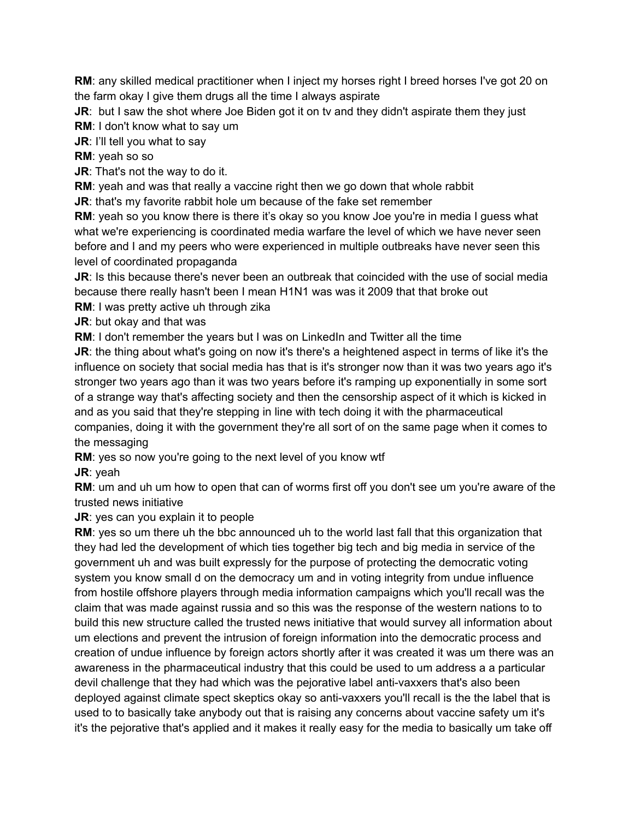**RM**: any skilled medical practitioner when I inject my horses right I breed horses I've got 20 on the farm okay I give them drugs all the time I always aspirate

**JR:** but I saw the shot where Joe Biden got it on tv and they didn't aspirate them they just

**RM**: I don't know what to say um

**JR:** I'll tell you what to say

**RM**: yeah so so

**JR:** That's not the way to do it.

**RM**: yeah and was that really a vaccine right then we go down that whole rabbit

**JR:** that's my favorite rabbit hole um because of the fake set remember

**RM**: yeah so you know there is there it's okay so you know Joe you're in media I guess what what we're experiencing is coordinated media warfare the level of which we have never seen before and I and my peers who were experienced in multiple outbreaks have never seen this level of coordinated propaganda

**JR**: Is this because there's never been an outbreak that coincided with the use of social media because there really hasn't been I mean H1N1 was was it 2009 that that broke out

**RM**: I was pretty active uh through zika

**JR**: but okay and that was

**RM**: I don't remember the years but I was on LinkedIn and Twitter all the time

**JR:** the thing about what's going on now it's there's a heightened aspect in terms of like it's the influence on society that social media has that is it's stronger now than it was two years ago it's stronger two years ago than it was two years before it's ramping up exponentially in some sort of a strange way that's affecting society and then the censorship aspect of it which is kicked in and as you said that they're stepping in line with tech doing it with the pharmaceutical companies, doing it with the government they're all sort of on the same page when it comes to the messaging

**RM**: yes so now you're going to the next level of you know wtf

**JR**: yeah

**RM**: um and uh um how to open that can of worms first off you don't see um you're aware of the trusted news initiative

**JR:** yes can you explain it to people

**RM**: yes so um there uh the bbc announced uh to the world last fall that this organization that they had led the development of which ties together big tech and big media in service of the government uh and was built expressly for the purpose of protecting the democratic voting system you know small d on the democracy um and in voting integrity from undue influence from hostile offshore players through media information campaigns which you'll recall was the claim that was made against russia and so this was the response of the western nations to to build this new structure called the trusted news initiative that would survey all information about um elections and prevent the intrusion of foreign information into the democratic process and creation of undue influence by foreign actors shortly after it was created it was um there was an awareness in the pharmaceutical industry that this could be used to um address a a particular devil challenge that they had which was the pejorative label anti-vaxxers that's also been deployed against climate spect skeptics okay so anti-vaxxers you'll recall is the the label that is used to to basically take anybody out that is raising any concerns about vaccine safety um it's it's the pejorative that's applied and it makes it really easy for the media to basically um take off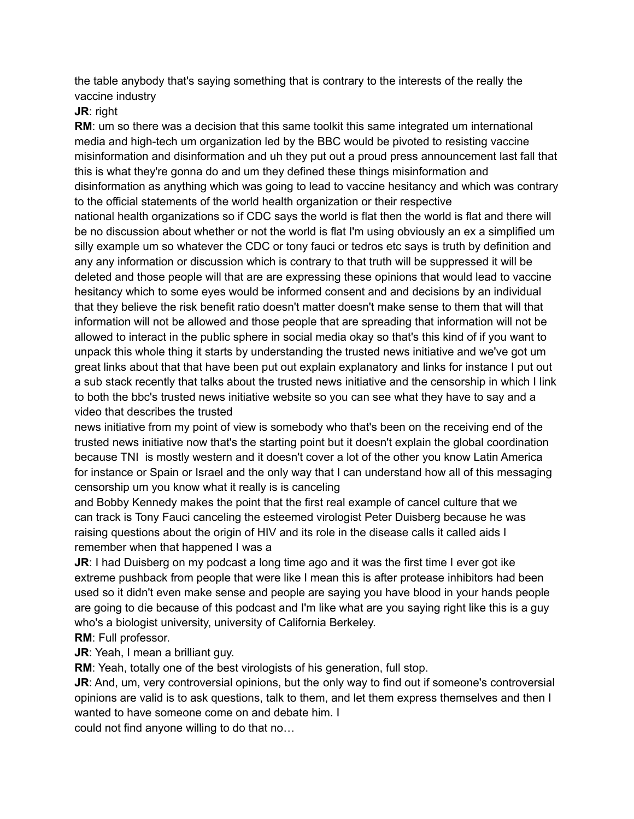the table anybody that's saying something that is contrary to the interests of the really the vaccine industry

**JR**: right

**RM:** um so there was a decision that this same toolkit this same integrated um international media and high-tech um organization led by the BBC would be pivoted to resisting vaccine misinformation and disinformation and uh they put out a proud press announcement last fall that this is what they're gonna do and um they defined these things misinformation and disinformation as anything which was going to lead to vaccine hesitancy and which was contrary to the official statements of the world health organization or their respective national health organizations so if CDC says the world is flat then the world is flat and there will

be no discussion about whether or not the world is flat I'm using obviously an ex a simplified um silly example um so whatever the CDC or tony fauci or tedros etc says is truth by definition and any any information or discussion which is contrary to that truth will be suppressed it will be deleted and those people will that are are expressing these opinions that would lead to vaccine hesitancy which to some eyes would be informed consent and and decisions by an individual that they believe the risk benefit ratio doesn't matter doesn't make sense to them that will that information will not be allowed and those people that are spreading that information will not be allowed to interact in the public sphere in social media okay so that's this kind of if you want to unpack this whole thing it starts by understanding the trusted news initiative and we've got um great links about that that have been put out explain explanatory and links for instance I put out a sub stack recently that talks about the trusted news initiative and the censorship in which I link to both the bbc's trusted news initiative website so you can see what they have to say and a video that describes the trusted

news initiative from my point of view is somebody who that's been on the receiving end of the trusted news initiative now that's the starting point but it doesn't explain the global coordination because TNI is mostly western and it doesn't cover a lot of the other you know Latin America for instance or Spain or Israel and the only way that I can understand how all of this messaging censorship um you know what it really is is canceling

and Bobby Kennedy makes the point that the first real example of cancel culture that we can track is Tony Fauci canceling the esteemed virologist Peter Duisberg because he was raising questions about the origin of HIV and its role in the disease calls it called aids I remember when that happened I was a

**JR:** I had Duisberg on my podcast a long time ago and it was the first time I ever got ike extreme pushback from people that were like I mean this is after protease inhibitors had been used so it didn't even make sense and people are saying you have blood in your hands people are going to die because of this podcast and I'm like what are you saying right like this is a guy who's a biologist university, university of California Berkeley.

**RM**: Full professor.

**JR:** Yeah, I mean a brilliant guy.

**RM**: Yeah, totally one of the best virologists of his generation, full stop.

**JR**: And, um, very controversial opinions, but the only way to find out if someone's controversial opinions are valid is to ask questions, talk to them, and let them express themselves and then I wanted to have someone come on and debate him. I

could not find anyone willing to do that no…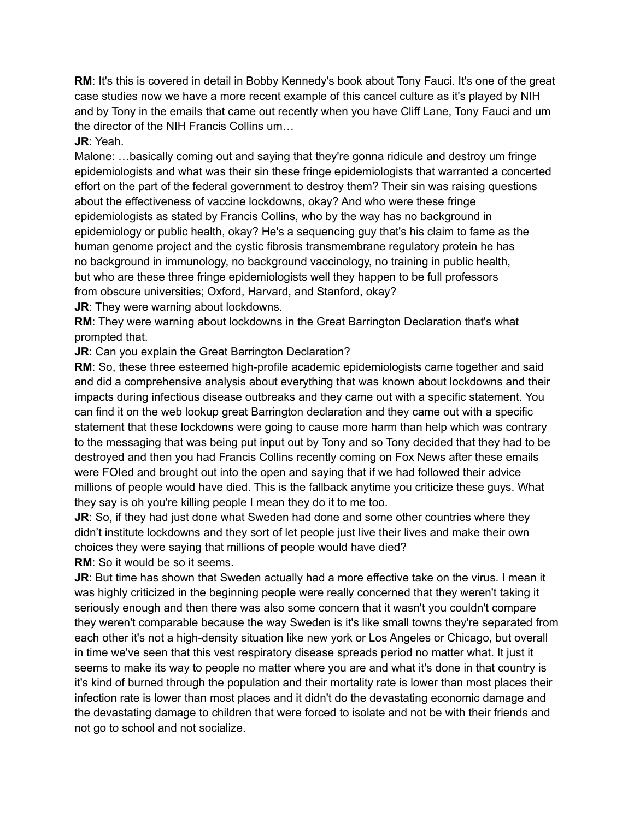**RM**: It's this is covered in detail in Bobby Kennedy's book about Tony Fauci. It's one of the great case studies now we have a more recent example of this cancel culture as it's played by NIH and by Tony in the emails that came out recently when you have Cliff Lane, Tony Fauci and um the director of the NIH Francis Collins um…

**JR**: Yeah.

Malone: …basically coming out and saying that they're gonna ridicule and destroy um fringe epidemiologists and what was their sin these fringe epidemiologists that warranted a concerted effort on the part of the federal government to destroy them? Their sin was raising questions about the effectiveness of vaccine lockdowns, okay? And who were these fringe epidemiologists as stated by Francis Collins, who by the way has no background in epidemiology or public health, okay? He's a sequencing guy that's his claim to fame as the human genome project and the cystic fibrosis transmembrane regulatory protein he has no background in immunology, no background vaccinology, no training in public health, but who are these three fringe epidemiologists well they happen to be full professors from obscure universities; Oxford, Harvard, and Stanford, okay?

**JR:** They were warning about lockdowns.

**RM**: They were warning about lockdowns in the Great Barrington Declaration that's what prompted that.

**JR:** Can you explain the Great Barrington Declaration?

**RM**: So, these three esteemed high-profile academic epidemiologists came together and said and did a comprehensive analysis about everything that was known about lockdowns and their impacts during infectious disease outbreaks and they came out with a specific statement. You can find it on the web lookup great Barrington declaration and they came out with a specific statement that these lockdowns were going to cause more harm than help which was contrary to the messaging that was being put input out by Tony and so Tony decided that they had to be destroyed and then you had Francis Collins recently coming on Fox News after these emails were FOIed and brought out into the open and saying that if we had followed their advice millions of people would have died. This is the fallback anytime you criticize these guys. What they say is oh you're killing people I mean they do it to me too.

**JR:** So, if they had just done what Sweden had done and some other countries where they didn't institute lockdowns and they sort of let people just live their lives and make their own choices they were saying that millions of people would have died?

**RM**: So it would be so it seems.

**JR**: But time has shown that Sweden actually had a more effective take on the virus. I mean it was highly criticized in the beginning people were really concerned that they weren't taking it seriously enough and then there was also some concern that it wasn't you couldn't compare they weren't comparable because the way Sweden is it's like small towns they're separated from each other it's not a high-density situation like new york or Los Angeles or Chicago, but overall in time we've seen that this vest respiratory disease spreads period no matter what. It just it seems to make its way to people no matter where you are and what it's done in that country is it's kind of burned through the population and their mortality rate is lower than most places their infection rate is lower than most places and it didn't do the devastating economic damage and the devastating damage to children that were forced to isolate and not be with their friends and not go to school and not socialize.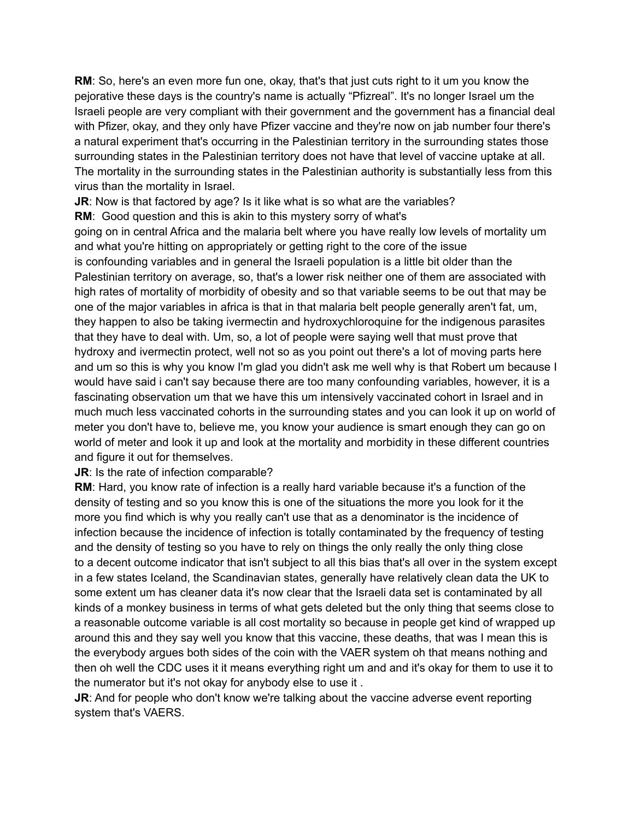**RM**: So, here's an even more fun one, okay, that's that just cuts right to it um you know the pejorative these days is the country's name is actually "Pfizreal". It's no longer Israel um the Israeli people are very compliant with their government and the government has a financial deal with Pfizer, okay, and they only have Pfizer vaccine and they're now on jab number four there's a natural experiment that's occurring in the Palestinian territory in the surrounding states those surrounding states in the Palestinian territory does not have that level of vaccine uptake at all. The mortality in the surrounding states in the Palestinian authority is substantially less from this virus than the mortality in Israel.

**JR:** Now is that factored by age? Is it like what is so what are the variables?

**RM**: Good question and this is akin to this mystery sorry of what's

going on in central Africa and the malaria belt where you have really low levels of mortality um and what you're hitting on appropriately or getting right to the core of the issue is confounding variables and in general the Israeli population is a little bit older than the Palestinian territory on average, so, that's a lower risk neither one of them are associated with high rates of mortality of morbidity of obesity and so that variable seems to be out that may be one of the major variables in africa is that in that malaria belt people generally aren't fat, um, they happen to also be taking ivermectin and hydroxychloroquine for the indigenous parasites that they have to deal with. Um, so, a lot of people were saying well that must prove that hydroxy and ivermectin protect, well not so as you point out there's a lot of moving parts here and um so this is why you know I'm glad you didn't ask me well why is that Robert um because I would have said i can't say because there are too many confounding variables, however, it is a fascinating observation um that we have this um intensively vaccinated cohort in Israel and in much much less vaccinated cohorts in the surrounding states and you can look it up on world of meter you don't have to, believe me, you know your audience is smart enough they can go on world of meter and look it up and look at the mortality and morbidity in these different countries and figure it out for themselves.

#### **JR:** Is the rate of infection comparable?

**RM**: Hard, you know rate of infection is a really hard variable because it's a function of the density of testing and so you know this is one of the situations the more you look for it the more you find which is why you really can't use that as a denominator is the incidence of infection because the incidence of infection is totally contaminated by the frequency of testing and the density of testing so you have to rely on things the only really the only thing close to a decent outcome indicator that isn't subject to all this bias that's all over in the system except in a few states Iceland, the Scandinavian states, generally have relatively clean data the UK to some extent um has cleaner data it's now clear that the Israeli data set is contaminated by all kinds of a monkey business in terms of what gets deleted but the only thing that seems close to a reasonable outcome variable is all cost mortality so because in people get kind of wrapped up around this and they say well you know that this vaccine, these deaths, that was I mean this is the everybody argues both sides of the coin with the VAER system oh that means nothing and then oh well the CDC uses it it means everything right um and and it's okay for them to use it to the numerator but it's not okay for anybody else to use it .

**JR:** And for people who don't know we're talking about the vaccine adverse event reporting system that's VAERS.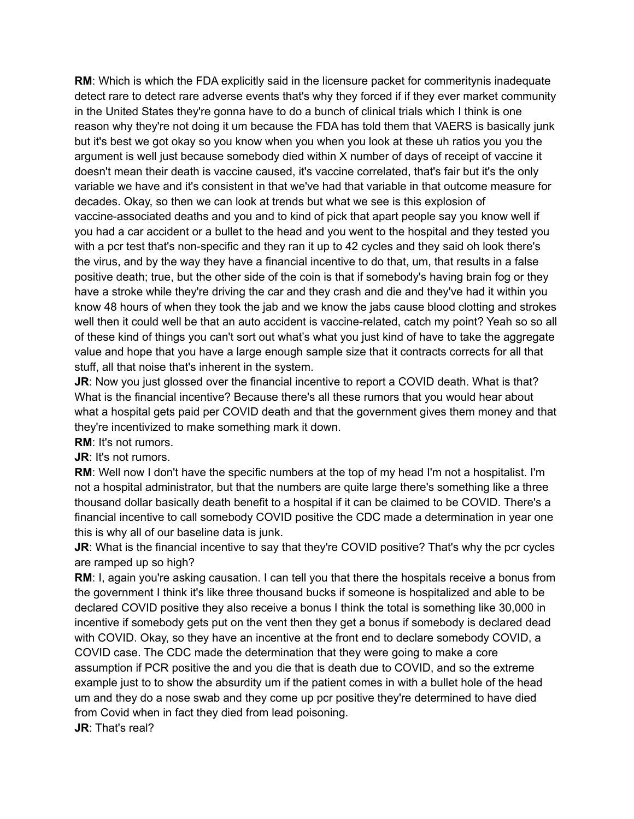**RM**: Which is which the FDA explicitly said in the licensure packet for commeritynis inadequate detect rare to detect rare adverse events that's why they forced if if they ever market community in the United States they're gonna have to do a bunch of clinical trials which I think is one reason why they're not doing it um because the FDA has told them that VAERS is basically junk but it's best we got okay so you know when you when you look at these uh ratios you you the argument is well just because somebody died within X number of days of receipt of vaccine it doesn't mean their death is vaccine caused, it's vaccine correlated, that's fair but it's the only variable we have and it's consistent in that we've had that variable in that outcome measure for decades. Okay, so then we can look at trends but what we see is this explosion of vaccine-associated deaths and you and to kind of pick that apart people say you know well if you had a car accident or a bullet to the head and you went to the hospital and they tested you with a pcr test that's non-specific and they ran it up to 42 cycles and they said oh look there's the virus, and by the way they have a financial incentive to do that, um, that results in a false positive death; true, but the other side of the coin is that if somebody's having brain fog or they have a stroke while they're driving the car and they crash and die and they've had it within you know 48 hours of when they took the jab and we know the jabs cause blood clotting and strokes well then it could well be that an auto accident is vaccine-related, catch my point? Yeah so so all of these kind of things you can't sort out what's what you just kind of have to take the aggregate value and hope that you have a large enough sample size that it contracts corrects for all that stuff, all that noise that's inherent in the system.

**JR:** Now you just glossed over the financial incentive to report a COVID death. What is that? What is the financial incentive? Because there's all these rumors that you would hear about what a hospital gets paid per COVID death and that the government gives them money and that they're incentivized to make something mark it down.

**RM**: It's not rumors.

**JR**: It's not rumors.

**RM**: Well now I don't have the specific numbers at the top of my head I'm not a hospitalist. I'm not a hospital administrator, but that the numbers are quite large there's something like a three thousand dollar basically death benefit to a hospital if it can be claimed to be COVID. There's a financial incentive to call somebody COVID positive the CDC made a determination in year one this is why all of our baseline data is junk.

**JR:** What is the financial incentive to say that they're COVID positive? That's why the pcr cycles are ramped up so high?

**RM:** I, again you're asking causation. I can tell you that there the hospitals receive a bonus from the government I think it's like three thousand bucks if someone is hospitalized and able to be declared COVID positive they also receive a bonus I think the total is something like 30,000 in incentive if somebody gets put on the vent then they get a bonus if somebody is declared dead with COVID. Okay, so they have an incentive at the front end to declare somebody COVID, a COVID case. The CDC made the determination that they were going to make a core assumption if PCR positive the and you die that is death due to COVID, and so the extreme example just to to show the absurdity um if the patient comes in with a bullet hole of the head um and they do a nose swab and they come up pcr positive they're determined to have died from Covid when in fact they died from lead poisoning.

**JR**: That's real?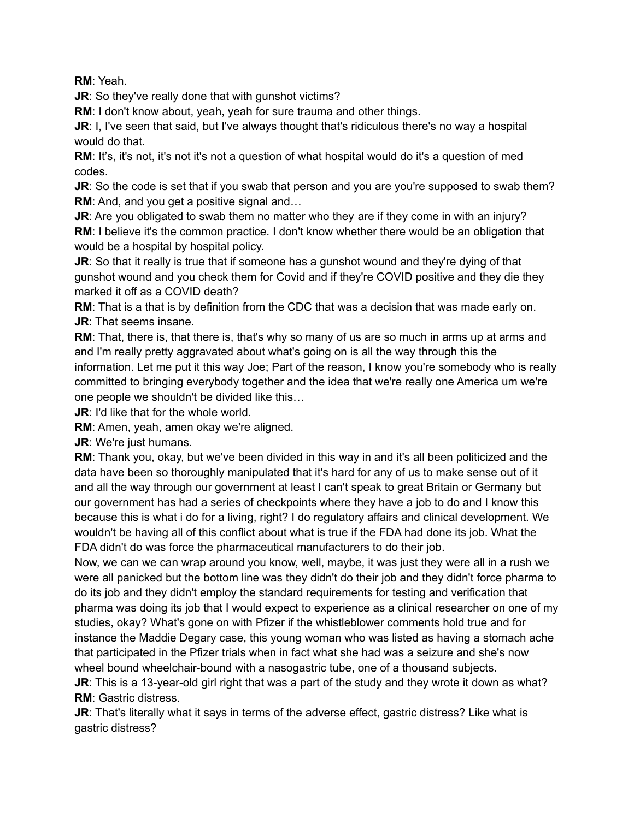**RM**: Yeah.

**JR:** So they've really done that with gunshot victims?

**RM**: I don't know about, yeah, yeah for sure trauma and other things.

**JR**: I, I've seen that said, but I've always thought that's ridiculous there's no way a hospital would do that.

**RM:** It's, it's not, it's not it's not a question of what hospital would do it's a question of med codes.

**JR:** So the code is set that if you swab that person and you are you're supposed to swab them? **RM**: And, and you get a positive signal and…

**JR:** Are you obligated to swab them no matter who they are if they come in with an injury? **RM**: I believe it's the common practice. I don't know whether there would be an obligation that would be a hospital by hospital policy.

**JR:** So that it really is true that if someone has a gunshot wound and they're dying of that gunshot wound and you check them for Covid and if they're COVID positive and they die they marked it off as a COVID death?

**RM**: That is a that is by definition from the CDC that was a decision that was made early on. **JR**: That seems insane.

**RM**: That, there is, that there is, that's why so many of us are so much in arms up at arms and and I'm really pretty aggravated about what's going on is all the way through this the information. Let me put it this way Joe; Part of the reason, I know you're somebody who is really committed to bringing everybody together and the idea that we're really one America um we're one people we shouldn't be divided like this…

**JR**: I'd like that for the whole world.

**RM**: Amen, yeah, amen okay we're aligned.

**JR**: We're just humans.

**RM**: Thank you, okay, but we've been divided in this way in and it's all been politicized and the data have been so thoroughly manipulated that it's hard for any of us to make sense out of it and all the way through our government at least I can't speak to great Britain or Germany but our government has had a series of checkpoints where they have a job to do and I know this because this is what i do for a living, right? I do regulatory affairs and clinical development. We wouldn't be having all of this conflict about what is true if the FDA had done its job. What the FDA didn't do was force the pharmaceutical manufacturers to do their job.

Now, we can we can wrap around you know, well, maybe, it was just they were all in a rush we were all panicked but the bottom line was they didn't do their job and they didn't force pharma to do its job and they didn't employ the standard requirements for testing and verification that pharma was doing its job that I would expect to experience as a clinical researcher on one of my studies, okay? What's gone on with Pfizer if the whistleblower comments hold true and for instance the Maddie Degary case, this young woman who was listed as having a stomach ache that participated in the Pfizer trials when in fact what she had was a seizure and she's now wheel bound wheelchair-bound with a nasogastric tube, one of a thousand subjects.

**JR:** This is a 13-year-old girl right that was a part of the study and they wrote it down as what? **RM**: Gastric distress.

**JR:** That's literally what it says in terms of the adverse effect, gastric distress? Like what is gastric distress?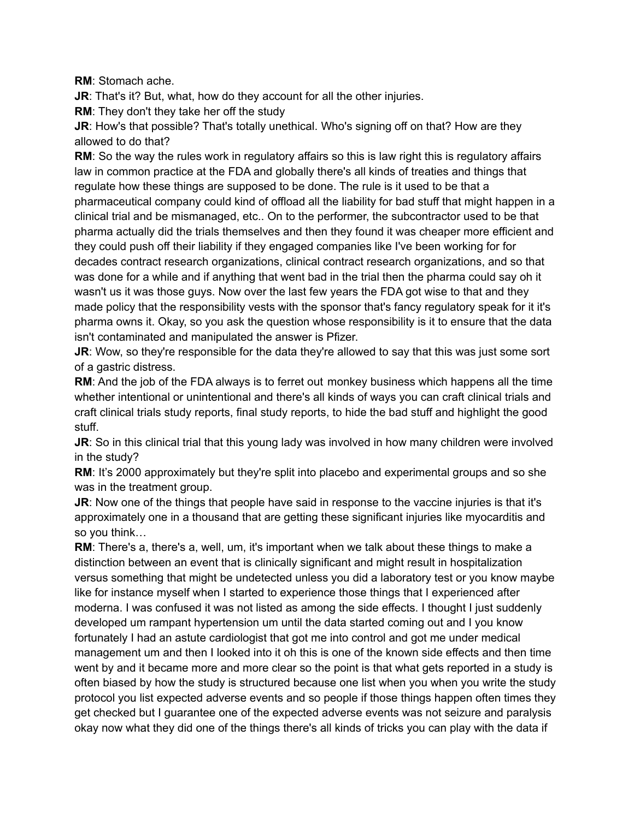**RM**: Stomach ache.

**JR:** That's it? But, what, how do they account for all the other injuries.

**RM**: They don't they take her off the study

**JR:** How's that possible? That's totally unethical. Who's signing off on that? How are they allowed to do that?

**RM**: So the way the rules work in regulatory affairs so this is law right this is regulatory affairs law in common practice at the FDA and globally there's all kinds of treaties and things that regulate how these things are supposed to be done. The rule is it used to be that a pharmaceutical company could kind of offload all the liability for bad stuff that might happen in a clinical trial and be mismanaged, etc.. On to the performer, the subcontractor used to be that pharma actually did the trials themselves and then they found it was cheaper more efficient and they could push off their liability if they engaged companies like I've been working for for decades contract research organizations, clinical contract research organizations, and so that was done for a while and if anything that went bad in the trial then the pharma could say oh it wasn't us it was those guys. Now over the last few years the FDA got wise to that and they made policy that the responsibility vests with the sponsor that's fancy regulatory speak for it it's pharma owns it. Okay, so you ask the question whose responsibility is it to ensure that the data isn't contaminated and manipulated the answer is Pfizer.

**JR:** Wow, so they're responsible for the data they're allowed to say that this was just some sort of a gastric distress.

**RM**: And the job of the FDA always is to ferret out monkey business which happens all the time whether intentional or unintentional and there's all kinds of ways you can craft clinical trials and craft clinical trials study reports, final study reports, to hide the bad stuff and highlight the good stuff.

**JR:** So in this clinical trial that this young lady was involved in how many children were involved in the study?

**RM**: It's 2000 approximately but they're split into placebo and experimental groups and so she was in the treatment group.

**JR**: Now one of the things that people have said in response to the vaccine injuries is that it's approximately one in a thousand that are getting these significant injuries like myocarditis and so you think…

**RM**: There's a, there's a, well, um, it's important when we talk about these things to make a distinction between an event that is clinically significant and might result in hospitalization versus something that might be undetected unless you did a laboratory test or you know maybe like for instance myself when I started to experience those things that I experienced after moderna. I was confused it was not listed as among the side effects. I thought I just suddenly developed um rampant hypertension um until the data started coming out and I you know fortunately I had an astute cardiologist that got me into control and got me under medical management um and then I looked into it oh this is one of the known side effects and then time went by and it became more and more clear so the point is that what gets reported in a study is often biased by how the study is structured because one list when you when you write the study protocol you list expected adverse events and so people if those things happen often times they get checked but I guarantee one of the expected adverse events was not seizure and paralysis okay now what they did one of the things there's all kinds of tricks you can play with the data if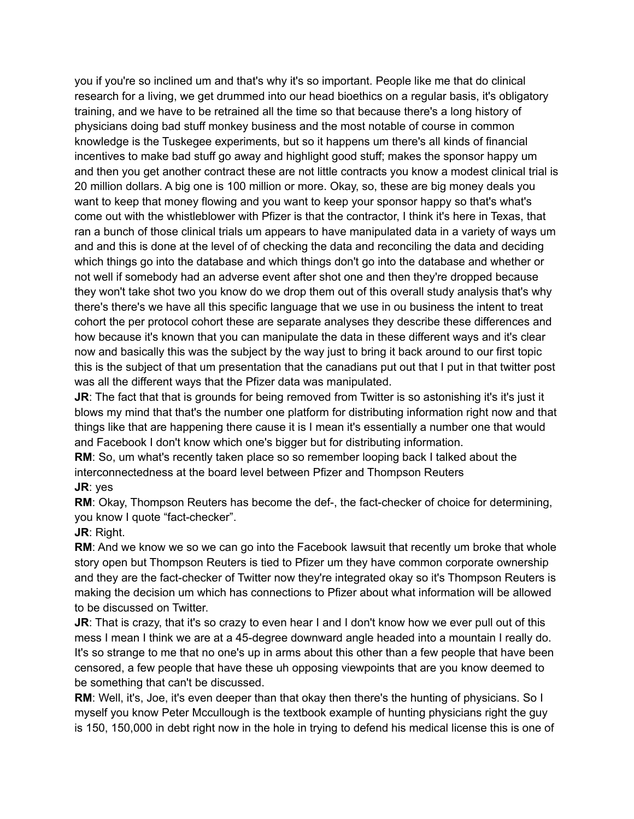you if you're so inclined um and that's why it's so important. People like me that do clinical research for a living, we get drummed into our head bioethics on a regular basis, it's obligatory training, and we have to be retrained all the time so that because there's a long history of physicians doing bad stuff monkey business and the most notable of course in common knowledge is the Tuskegee experiments, but so it happens um there's all kinds of financial incentives to make bad stuff go away and highlight good stuff; makes the sponsor happy um and then you get another contract these are not little contracts you know a modest clinical trial is 20 million dollars. A big one is 100 million or more. Okay, so, these are big money deals you want to keep that money flowing and you want to keep your sponsor happy so that's what's come out with the whistleblower with Pfizer is that the contractor, I think it's here in Texas, that ran a bunch of those clinical trials um appears to have manipulated data in a variety of ways um and and this is done at the level of of checking the data and reconciling the data and deciding which things go into the database and which things don't go into the database and whether or not well if somebody had an adverse event after shot one and then they're dropped because they won't take shot two you know do we drop them out of this overall study analysis that's why there's there's we have all this specific language that we use in ou business the intent to treat cohort the per protocol cohort these are separate analyses they describe these differences and how because it's known that you can manipulate the data in these different ways and it's clear now and basically this was the subject by the way just to bring it back around to our first topic this is the subject of that um presentation that the canadians put out that I put in that twitter post was all the different ways that the Pfizer data was manipulated.

**JR**: The fact that that is grounds for being removed from Twitter is so astonishing it's it's just it blows my mind that that's the number one platform for distributing information right now and that things like that are happening there cause it is I mean it's essentially a number one that would and Facebook I don't know which one's bigger but for distributing information.

**RM**: So, um what's recently taken place so so remember looping back I talked about the interconnectedness at the board level between Pfizer and Thompson Reuters **JR**: yes

**RM**: Okay, Thompson Reuters has become the def-, the fact-checker of choice for determining, you know I quote "fact-checker".

**JR**: Right.

**RM:** And we know we so we can go into the Facebook lawsuit that recently um broke that whole story open but Thompson Reuters is tied to Pfizer um they have common corporate ownership and they are the fact-checker of Twitter now they're integrated okay so it's Thompson Reuters is making the decision um which has connections to Pfizer about what information will be allowed to be discussed on Twitter.

**JR:** That is crazy, that it's so crazy to even hear I and I don't know how we ever pull out of this mess I mean I think we are at a 45-degree downward angle headed into a mountain I really do. It's so strange to me that no one's up in arms about this other than a few people that have been censored, a few people that have these uh opposing viewpoints that are you know deemed to be something that can't be discussed.

**RM**: Well, it's, Joe, it's even deeper than that okay then there's the hunting of physicians. So I myself you know Peter Mccullough is the textbook example of hunting physicians right the guy is 150, 150,000 in debt right now in the hole in trying to defend his medical license this is one of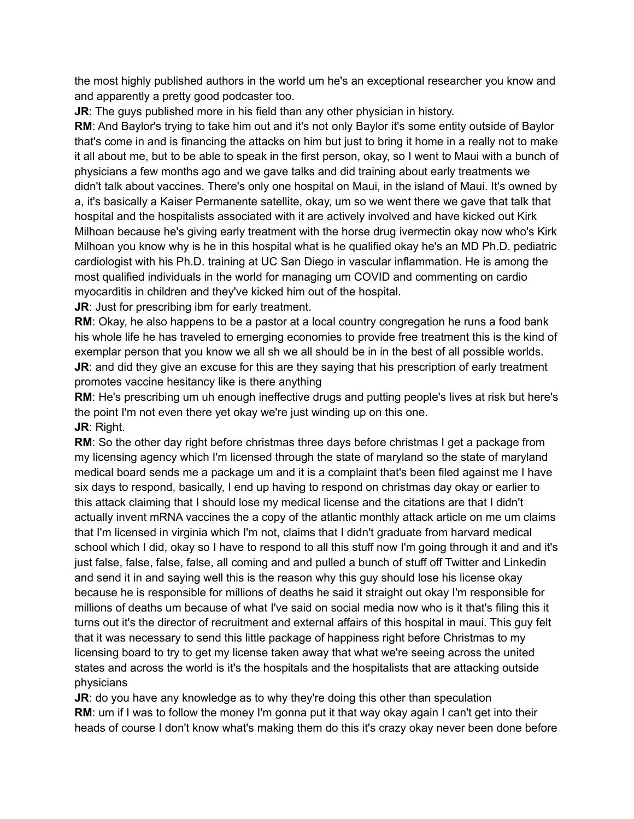the most highly published authors in the world um he's an exceptional researcher you know and and apparently a pretty good podcaster too.

**JR:** The guys published more in his field than any other physician in history.

**RM**: And Baylor's trying to take him out and it's not only Baylor it's some entity outside of Baylor that's come in and is financing the attacks on him but just to bring it home in a really not to make it all about me, but to be able to speak in the first person, okay, so I went to Maui with a bunch of physicians a few months ago and we gave talks and did training about early treatments we didn't talk about vaccines. There's only one hospital on Maui, in the island of Maui. It's owned by a, it's basically a Kaiser Permanente satellite, okay, um so we went there we gave that talk that hospital and the hospitalists associated with it are actively involved and have kicked out Kirk Milhoan because he's giving early treatment with the horse drug ivermectin okay now who's Kirk Milhoan you know why is he in this hospital what is he qualified okay he's an MD Ph.D. pediatric cardiologist with his Ph.D. training at UC San Diego in vascular inflammation. He is among the most qualified individuals in the world for managing um COVID and commenting on cardio myocarditis in children and they've kicked him out of the hospital.

**JR:** Just for prescribing ibm for early treatment.

**RM**: Okay, he also happens to be a pastor at a local country congregation he runs a food bank his whole life he has traveled to emerging economies to provide free treatment this is the kind of exemplar person that you know we all sh we all should be in in the best of all possible worlds. **JR:** and did they give an excuse for this are they saying that his prescription of early treatment promotes vaccine hesitancy like is there anything

**RM**: He's prescribing um uh enough ineffective drugs and putting people's lives at risk but here's the point I'm not even there yet okay we're just winding up on this one. **JR**: Right.

**RM:** So the other day right before christmas three days before christmas I get a package from my licensing agency which I'm licensed through the state of maryland so the state of maryland medical board sends me a package um and it is a complaint that's been filed against me I have six days to respond, basically, I end up having to respond on christmas day okay or earlier to this attack claiming that I should lose my medical license and the citations are that I didn't actually invent mRNA vaccines the a copy of the atlantic monthly attack article on me um claims that I'm licensed in virginia which I'm not, claims that I didn't graduate from harvard medical school which I did, okay so I have to respond to all this stuff now I'm going through it and and it's just false, false, false, false, all coming and and pulled a bunch of stuff off Twitter and Linkedin and send it in and saying well this is the reason why this guy should lose his license okay because he is responsible for millions of deaths he said it straight out okay I'm responsible for millions of deaths um because of what I've said on social media now who is it that's filing this it turns out it's the director of recruitment and external affairs of this hospital in maui. This guy felt that it was necessary to send this little package of happiness right before Christmas to my licensing board to try to get my license taken away that what we're seeing across the united states and across the world is it's the hospitals and the hospitalists that are attacking outside physicians

**JR**: do you have any knowledge as to why they're doing this other than speculation **RM**: um if I was to follow the money I'm gonna put it that way okay again I can't get into their heads of course I don't know what's making them do this it's crazy okay never been done before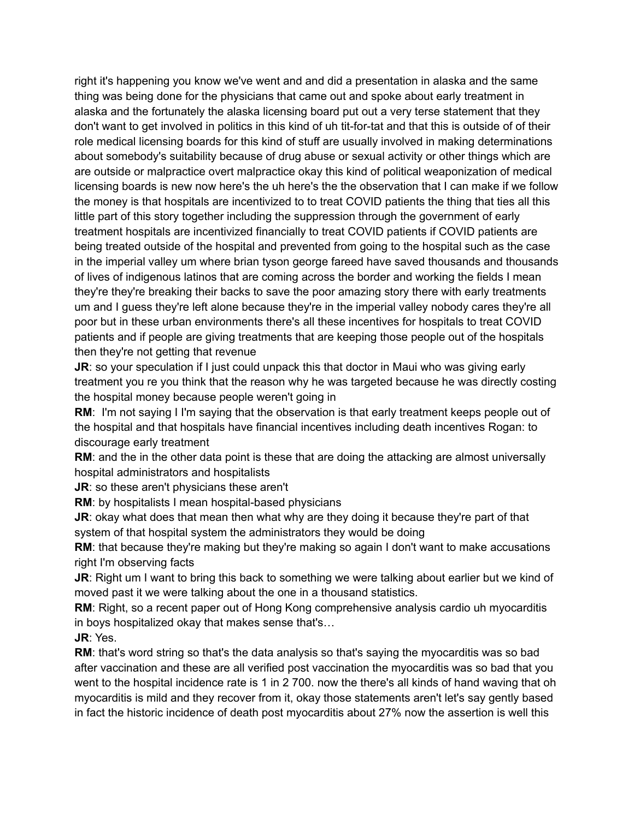right it's happening you know we've went and and did a presentation in alaska and the same thing was being done for the physicians that came out and spoke about early treatment in alaska and the fortunately the alaska licensing board put out a very terse statement that they don't want to get involved in politics in this kind of uh tit-for-tat and that this is outside of of their role medical licensing boards for this kind of stuff are usually involved in making determinations about somebody's suitability because of drug abuse or sexual activity or other things which are are outside or malpractice overt malpractice okay this kind of political weaponization of medical licensing boards is new now here's the uh here's the the observation that I can make if we follow the money is that hospitals are incentivized to to treat COVID patients the thing that ties all this little part of this story together including the suppression through the government of early treatment hospitals are incentivized financially to treat COVID patients if COVID patients are being treated outside of the hospital and prevented from going to the hospital such as the case in the imperial valley um where brian tyson george fareed have saved thousands and thousands of lives of indigenous latinos that are coming across the border and working the fields I mean they're they're breaking their backs to save the poor amazing story there with early treatments um and I guess they're left alone because they're in the imperial valley nobody cares they're all poor but in these urban environments there's all these incentives for hospitals to treat COVID patients and if people are giving treatments that are keeping those people out of the hospitals then they're not getting that revenue

**JR:** so your speculation if I just could unpack this that doctor in Maui who was giving early treatment you re you think that the reason why he was targeted because he was directly costing the hospital money because people weren't going in

**RM**: I'm not saying I I'm saying that the observation is that early treatment keeps people out of the hospital and that hospitals have financial incentives including death incentives Rogan: to discourage early treatment

**RM**: and the in the other data point is these that are doing the attacking are almost universally hospital administrators and hospitalists

**JR**: so these aren't physicians these aren't

**RM**: by hospitalists I mean hospital-based physicians

**JR:** okay what does that mean then what why are they doing it because they're part of that system of that hospital system the administrators they would be doing

**RM:** that because they're making but they're making so again I don't want to make accusations right I'm observing facts

**JR**: Right um I want to bring this back to something we were talking about earlier but we kind of moved past it we were talking about the one in a thousand statistics.

**RM:** Right, so a recent paper out of Hong Kong comprehensive analysis cardio uh myocarditis in boys hospitalized okay that makes sense that's…

**JR**: Yes.

**RM**: that's word string so that's the data analysis so that's saying the myocarditis was so bad after vaccination and these are all verified post vaccination the myocarditis was so bad that you went to the hospital incidence rate is 1 in 2 700. now the there's all kinds of hand waving that oh myocarditis is mild and they recover from it, okay those statements aren't let's say gently based in fact the historic incidence of death post myocarditis about 27% now the assertion is well this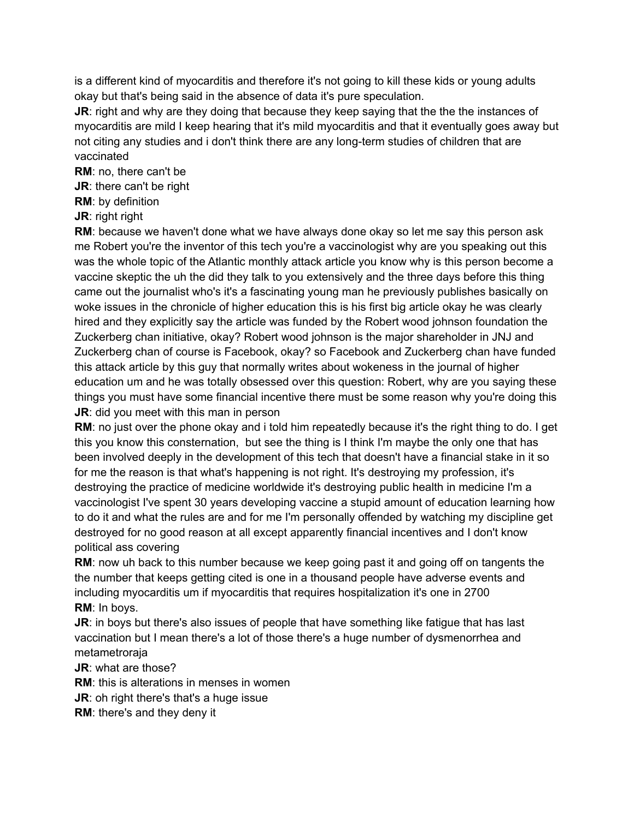is a different kind of myocarditis and therefore it's not going to kill these kids or young adults okay but that's being said in the absence of data it's pure speculation.

**JR:** right and why are they doing that because they keep saying that the the the instances of myocarditis are mild I keep hearing that it's mild myocarditis and that it eventually goes away but not citing any studies and i don't think there are any long-term studies of children that are vaccinated

**RM**: no, there can't be

**JR**: there can't be right

**RM**: by definition

**JR**: right right

**RM**: because we haven't done what we have always done okay so let me say this person ask me Robert you're the inventor of this tech you're a vaccinologist why are you speaking out this was the whole topic of the Atlantic monthly attack article you know why is this person become a vaccine skeptic the uh the did they talk to you extensively and the three days before this thing came out the journalist who's it's a fascinating young man he previously publishes basically on woke issues in the chronicle of higher education this is his first big article okay he was clearly hired and they explicitly say the article was funded by the Robert wood johnson foundation the Zuckerberg chan initiative, okay? Robert wood johnson is the major shareholder in JNJ and Zuckerberg chan of course is Facebook, okay? so Facebook and Zuckerberg chan have funded this attack article by this guy that normally writes about wokeness in the journal of higher education um and he was totally obsessed over this question: Robert, why are you saying these things you must have some financial incentive there must be some reason why you're doing this **JR:** did you meet with this man in person

**RM**: no just over the phone okay and i told him repeatedly because it's the right thing to do. I get this you know this consternation, but see the thing is I think I'm maybe the only one that has been involved deeply in the development of this tech that doesn't have a financial stake in it so for me the reason is that what's happening is not right. It's destroying my profession, it's destroying the practice of medicine worldwide it's destroying public health in medicine I'm a vaccinologist I've spent 30 years developing vaccine a stupid amount of education learning how to do it and what the rules are and for me I'm personally offended by watching my discipline get destroyed for no good reason at all except apparently financial incentives and I don't know political ass covering

**RM**: now uh back to this number because we keep going past it and going off on tangents the the number that keeps getting cited is one in a thousand people have adverse events and including myocarditis um if myocarditis that requires hospitalization it's one in 2700 **RM**: In boys.

**JR:** in boys but there's also issues of people that have something like fatigue that has last vaccination but I mean there's a lot of those there's a huge number of dysmenorrhea and metametroraja

**JR**: what are those?

**RM**: this is alterations in menses in women

**JR:** oh right there's that's a huge issue

**RM**: there's and they deny it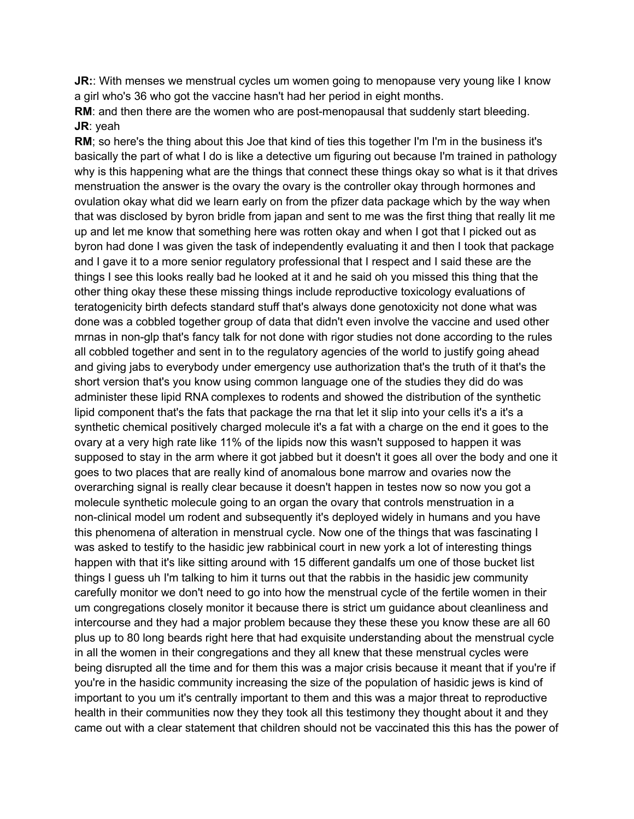**JR::** With menses we menstrual cycles um women going to menopause very young like I know a girl who's 36 who got the vaccine hasn't had her period in eight months.

**RM:** and then there are the women who are post-menopausal that suddenly start bleeding. **JR**: yeah

**RM**; so here's the thing about this Joe that kind of ties this together I'm I'm in the business it's basically the part of what I do is like a detective um figuring out because I'm trained in pathology why is this happening what are the things that connect these things okay so what is it that drives menstruation the answer is the ovary the ovary is the controller okay through hormones and ovulation okay what did we learn early on from the pfizer data package which by the way when that was disclosed by byron bridle from japan and sent to me was the first thing that really lit me up and let me know that something here was rotten okay and when I got that I picked out as byron had done I was given the task of independently evaluating it and then I took that package and I gave it to a more senior regulatory professional that I respect and I said these are the things I see this looks really bad he looked at it and he said oh you missed this thing that the other thing okay these these missing things include reproductive toxicology evaluations of teratogenicity birth defects standard stuff that's always done genotoxicity not done what was done was a cobbled together group of data that didn't even involve the vaccine and used other mrnas in non-glp that's fancy talk for not done with rigor studies not done according to the rules all cobbled together and sent in to the regulatory agencies of the world to justify going ahead and giving jabs to everybody under emergency use authorization that's the truth of it that's the short version that's you know using common language one of the studies they did do was administer these lipid RNA complexes to rodents and showed the distribution of the synthetic lipid component that's the fats that package the rna that let it slip into your cells it's a it's a synthetic chemical positively charged molecule it's a fat with a charge on the end it goes to the ovary at a very high rate like 11% of the lipids now this wasn't supposed to happen it was supposed to stay in the arm where it got jabbed but it doesn't it goes all over the body and one it goes to two places that are really kind of anomalous bone marrow and ovaries now the overarching signal is really clear because it doesn't happen in testes now so now you got a molecule synthetic molecule going to an organ the ovary that controls menstruation in a non-clinical model um rodent and subsequently it's deployed widely in humans and you have this phenomena of alteration in menstrual cycle. Now one of the things that was fascinating I was asked to testify to the hasidic jew rabbinical court in new york a lot of interesting things happen with that it's like sitting around with 15 different gandalfs um one of those bucket list things I guess uh I'm talking to him it turns out that the rabbis in the hasidic jew community carefully monitor we don't need to go into how the menstrual cycle of the fertile women in their um congregations closely monitor it because there is strict um guidance about cleanliness and intercourse and they had a major problem because they these these you know these are all 60 plus up to 80 long beards right here that had exquisite understanding about the menstrual cycle in all the women in their congregations and they all knew that these menstrual cycles were being disrupted all the time and for them this was a major crisis because it meant that if you're if you're in the hasidic community increasing the size of the population of hasidic jews is kind of important to you um it's centrally important to them and this was a major threat to reproductive health in their communities now they they took all this testimony they thought about it and they came out with a clear statement that children should not be vaccinated this this has the power of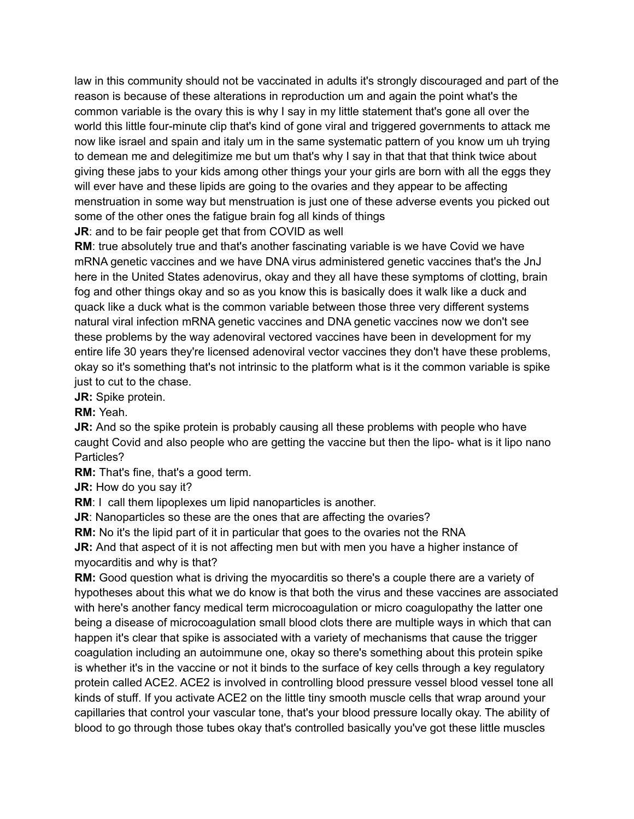law in this community should not be vaccinated in adults it's strongly discouraged and part of the reason is because of these alterations in reproduction um and again the point what's the common variable is the ovary this is why I say in my little statement that's gone all over the world this little four-minute clip that's kind of gone viral and triggered governments to attack me now like israel and spain and italy um in the same systematic pattern of you know um uh trying to demean me and delegitimize me but um that's why I say in that that that think twice about giving these jabs to your kids among other things your your girls are born with all the eggs they will ever have and these lipids are going to the ovaries and they appear to be affecting menstruation in some way but menstruation is just one of these adverse events you picked out some of the other ones the fatigue brain fog all kinds of things

**JR:** and to be fair people get that from COVID as well

**RM**: true absolutely true and that's another fascinating variable is we have Covid we have mRNA genetic vaccines and we have DNA virus administered genetic vaccines that's the JnJ here in the United States adenovirus, okay and they all have these symptoms of clotting, brain fog and other things okay and so as you know this is basically does it walk like a duck and quack like a duck what is the common variable between those three very different systems natural viral infection mRNA genetic vaccines and DNA genetic vaccines now we don't see these problems by the way adenoviral vectored vaccines have been in development for my entire life 30 years they're licensed adenoviral vector vaccines they don't have these problems, okay so it's something that's not intrinsic to the platform what is it the common variable is spike just to cut to the chase.

**JR:** Spike protein.

**RM:** Yeah.

**JR:** And so the spike protein is probably causing all these problems with people who have caught Covid and also people who are getting the vaccine but then the lipo- what is it lipo nano Particles?

**RM:** That's fine, that's a good term.

**JR:** How do you say it?

**RM**: I call them lipoplexes um lipid nanoparticles is another.

**JR:** Nanoparticles so these are the ones that are affecting the ovaries?

**RM:** No it's the lipid part of it in particular that goes to the ovaries not the RNA

**JR:** And that aspect of it is not affecting men but with men you have a higher instance of myocarditis and why is that?

**RM:** Good question what is driving the myocarditis so there's a couple there are a variety of hypotheses about this what we do know is that both the virus and these vaccines are associated with here's another fancy medical term microcoagulation or micro coagulopathy the latter one being a disease of microcoagulation small blood clots there are multiple ways in which that can happen it's clear that spike is associated with a variety of mechanisms that cause the trigger coagulation including an autoimmune one, okay so there's something about this protein spike is whether it's in the vaccine or not it binds to the surface of key cells through a key regulatory protein called ACE2. ACE2 is involved in controlling blood pressure vessel blood vessel tone all kinds of stuff. If you activate ACE2 on the little tiny smooth muscle cells that wrap around your capillaries that control your vascular tone, that's your blood pressure locally okay. The ability of blood to go through those tubes okay that's controlled basically you've got these little muscles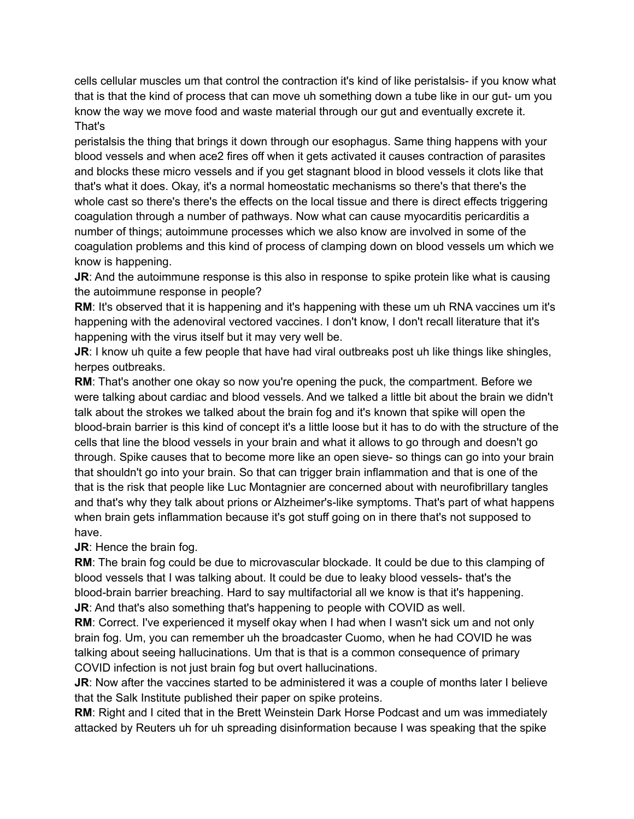cells cellular muscles um that control the contraction it's kind of like peristalsis- if you know what that is that the kind of process that can move uh something down a tube like in our gut- um you know the way we move food and waste material through our gut and eventually excrete it. That's

peristalsis the thing that brings it down through our esophagus. Same thing happens with your blood vessels and when ace2 fires off when it gets activated it causes contraction of parasites and blocks these micro vessels and if you get stagnant blood in blood vessels it clots like that that's what it does. Okay, it's a normal homeostatic mechanisms so there's that there's the whole cast so there's there's the effects on the local tissue and there is direct effects triggering coagulation through a number of pathways. Now what can cause myocarditis pericarditis a number of things; autoimmune processes which we also know are involved in some of the coagulation problems and this kind of process of clamping down on blood vessels um which we know is happening.

**JR:** And the autoimmune response is this also in response to spike protein like what is causing the autoimmune response in people?

**RM**: It's observed that it is happening and it's happening with these um uh RNA vaccines um it's happening with the adenoviral vectored vaccines. I don't know, I don't recall literature that it's happening with the virus itself but it may very well be.

**JR:** I know uh quite a few people that have had viral outbreaks post uh like things like shingles, herpes outbreaks.

**RM:** That's another one okay so now you're opening the puck, the compartment. Before we were talking about cardiac and blood vessels. And we talked a little bit about the brain we didn't talk about the strokes we talked about the brain fog and it's known that spike will open the blood-brain barrier is this kind of concept it's a little loose but it has to do with the structure of the cells that line the blood vessels in your brain and what it allows to go through and doesn't go through. Spike causes that to become more like an open sieve- so things can go into your brain that shouldn't go into your brain. So that can trigger brain inflammation and that is one of the that is the risk that people like Luc Montagnier are concerned about with neurofibrillary tangles and that's why they talk about prions or Alzheimer's-like symptoms. That's part of what happens when brain gets inflammation because it's got stuff going on in there that's not supposed to have.

**JR**: Hence the brain fog.

**RM**: The brain fog could be due to microvascular blockade. It could be due to this clamping of blood vessels that I was talking about. It could be due to leaky blood vessels- that's the blood-brain barrier breaching. Hard to say multifactorial all we know is that it's happening. **JR:** And that's also something that's happening to people with COVID as well.

**RM**: Correct. I've experienced it myself okay when I had when I wasn't sick um and not only brain fog. Um, you can remember uh the broadcaster Cuomo, when he had COVID he was talking about seeing hallucinations. Um that is that is a common consequence of primary COVID infection is not just brain fog but overt hallucinations.

**JR:** Now after the vaccines started to be administered it was a couple of months later I believe that the Salk Institute published their paper on spike proteins.

**RM**: Right and I cited that in the Brett Weinstein Dark Horse Podcast and um was immediately attacked by Reuters uh for uh spreading disinformation because I was speaking that the spike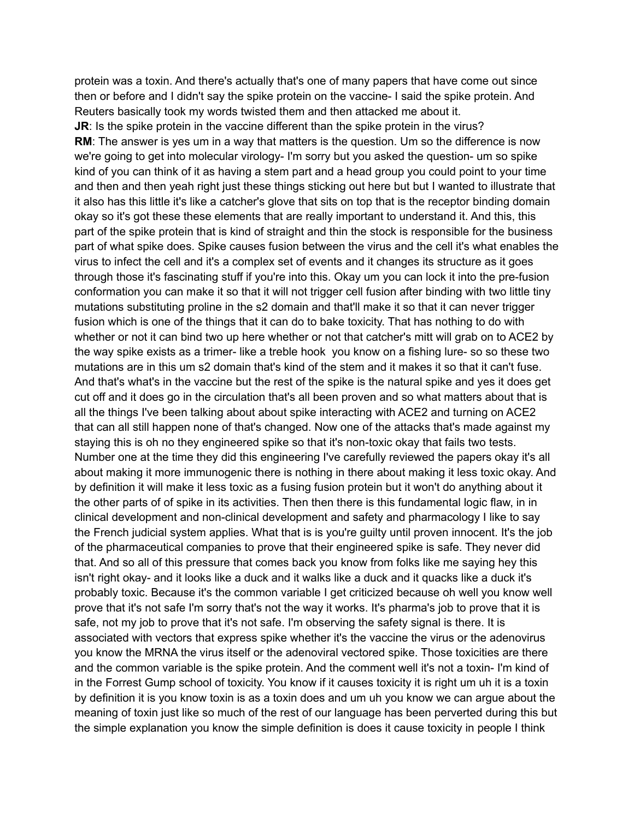protein was a toxin. And there's actually that's one of many papers that have come out since then or before and I didn't say the spike protein on the vaccine- I said the spike protein. And Reuters basically took my words twisted them and then attacked me about it.

**JR:** Is the spike protein in the vaccine different than the spike protein in the virus? **RM:** The answer is yes um in a way that matters is the question. Um so the difference is now we're going to get into molecular virology- I'm sorry but you asked the question- um so spike kind of you can think of it as having a stem part and a head group you could point to your time and then and then yeah right just these things sticking out here but but I wanted to illustrate that it also has this little it's like a catcher's glove that sits on top that is the receptor binding domain okay so it's got these these elements that are really important to understand it. And this, this part of the spike protein that is kind of straight and thin the stock is responsible for the business part of what spike does. Spike causes fusion between the virus and the cell it's what enables the virus to infect the cell and it's a complex set of events and it changes its structure as it goes through those it's fascinating stuff if you're into this. Okay um you can lock it into the pre-fusion conformation you can make it so that it will not trigger cell fusion after binding with two little tiny mutations substituting proline in the s2 domain and that'll make it so that it can never trigger fusion which is one of the things that it can do to bake toxicity. That has nothing to do with whether or not it can bind two up here whether or not that catcher's mitt will grab on to ACE2 by the way spike exists as a trimer- like a treble hook you know on a fishing lure- so so these two mutations are in this um s2 domain that's kind of the stem and it makes it so that it can't fuse. And that's what's in the vaccine but the rest of the spike is the natural spike and yes it does get cut off and it does go in the circulation that's all been proven and so what matters about that is all the things I've been talking about about spike interacting with ACE2 and turning on ACE2 that can all still happen none of that's changed. Now one of the attacks that's made against my staying this is oh no they engineered spike so that it's non-toxic okay that fails two tests. Number one at the time they did this engineering I've carefully reviewed the papers okay it's all about making it more immunogenic there is nothing in there about making it less toxic okay. And by definition it will make it less toxic as a fusing fusion protein but it won't do anything about it the other parts of of spike in its activities. Then then there is this fundamental logic flaw, in in clinical development and non-clinical development and safety and pharmacology I like to say the French judicial system applies. What that is is you're guilty until proven innocent. It's the job of the pharmaceutical companies to prove that their engineered spike is safe. They never did that. And so all of this pressure that comes back you know from folks like me saying hey this isn't right okay- and it looks like a duck and it walks like a duck and it quacks like a duck it's probably toxic. Because it's the common variable I get criticized because oh well you know well prove that it's not safe I'm sorry that's not the way it works. It's pharma's job to prove that it is safe, not my job to prove that it's not safe. I'm observing the safety signal is there. It is associated with vectors that express spike whether it's the vaccine the virus or the adenovirus you know the MRNA the virus itself or the adenoviral vectored spike. Those toxicities are there and the common variable is the spike protein. And the comment well it's not a toxin- I'm kind of in the Forrest Gump school of toxicity. You know if it causes toxicity it is right um uh it is a toxin by definition it is you know toxin is as a toxin does and um uh you know we can argue about the meaning of toxin just like so much of the rest of our language has been perverted during this but the simple explanation you know the simple definition is does it cause toxicity in people I think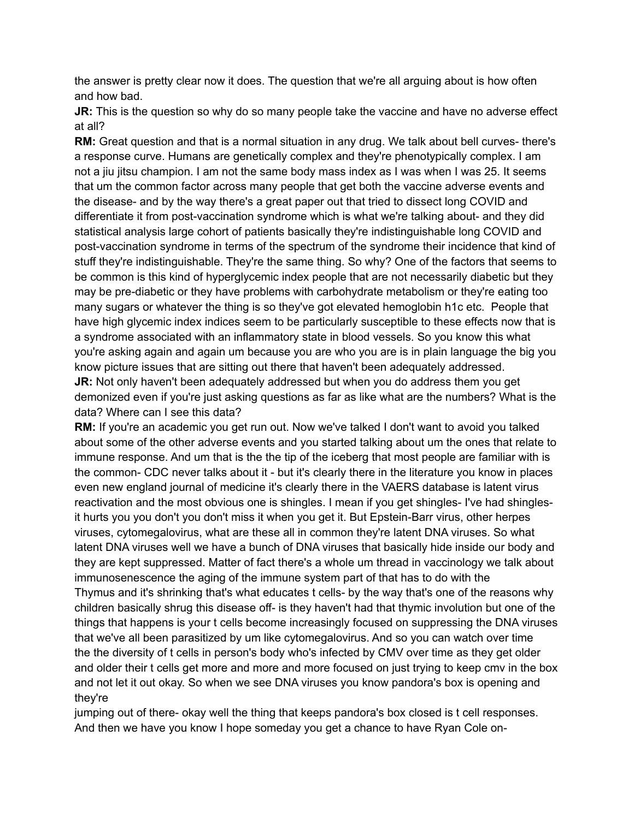the answer is pretty clear now it does. The question that we're all arguing about is how often and how bad.

**JR:** This is the question so why do so many people take the vaccine and have no adverse effect at all?

**RM:** Great question and that is a normal situation in any drug. We talk about bell curves- there's a response curve. Humans are genetically complex and they're phenotypically complex. I am not a jiu jitsu champion. I am not the same body mass index as I was when I was 25. It seems that um the common factor across many people that get both the vaccine adverse events and the disease- and by the way there's a great paper out that tried to dissect long COVID and differentiate it from post-vaccination syndrome which is what we're talking about- and they did statistical analysis large cohort of patients basically they're indistinguishable long COVID and post-vaccination syndrome in terms of the spectrum of the syndrome their incidence that kind of stuff they're indistinguishable. They're the same thing. So why? One of the factors that seems to be common is this kind of hyperglycemic index people that are not necessarily diabetic but they may be pre-diabetic or they have problems with carbohydrate metabolism or they're eating too many sugars or whatever the thing is so they've got elevated hemoglobin h1c etc. People that have high glycemic index indices seem to be particularly susceptible to these effects now that is a syndrome associated with an inflammatory state in blood vessels. So you know this what you're asking again and again um because you are who you are is in plain language the big you know picture issues that are sitting out there that haven't been adequately addressed.

**JR:** Not only haven't been adequately addressed but when you do address them you get demonized even if you're just asking questions as far as like what are the numbers? What is the data? Where can I see this data?

**RM:** If you're an academic you get run out. Now we've talked I don't want to avoid you talked about some of the other adverse events and you started talking about um the ones that relate to immune response. And um that is the the tip of the iceberg that most people are familiar with is the common- CDC never talks about it - but it's clearly there in the literature you know in places even new england journal of medicine it's clearly there in the VAERS database is latent virus reactivation and the most obvious one is shingles. I mean if you get shingles- I've had shinglesit hurts you you don't you don't miss it when you get it. But Epstein-Barr virus, other herpes viruses, cytomegalovirus, what are these all in common they're latent DNA viruses. So what latent DNA viruses well we have a bunch of DNA viruses that basically hide inside our body and they are kept suppressed. Matter of fact there's a whole um thread in vaccinology we talk about immunosenescence the aging of the immune system part of that has to do with the Thymus and it's shrinking that's what educates t cells- by the way that's one of the reasons why children basically shrug this disease off- is they haven't had that thymic involution but one of the things that happens is your t cells become increasingly focused on suppressing the DNA viruses that we've all been parasitized by um like cytomegalovirus. And so you can watch over time the the diversity of t cells in person's body who's infected by CMV over time as they get older and older their t cells get more and more and more focused on just trying to keep cmv in the box and not let it out okay. So when we see DNA viruses you know pandora's box is opening and they're

jumping out of there- okay well the thing that keeps pandora's box closed is t cell responses. And then we have you know I hope someday you get a chance to have Ryan Cole on-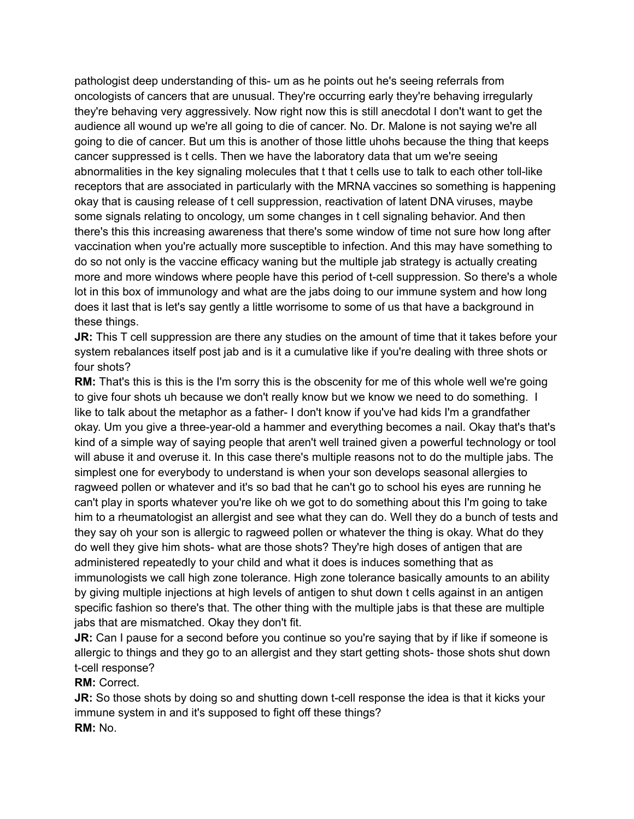pathologist deep understanding of this- um as he points out he's seeing referrals from oncologists of cancers that are unusual. They're occurring early they're behaving irregularly they're behaving very aggressively. Now right now this is still anecdotal I don't want to get the audience all wound up we're all going to die of cancer. No. Dr. Malone is not saying we're all going to die of cancer. But um this is another of those little uhohs because the thing that keeps cancer suppressed is t cells. Then we have the laboratory data that um we're seeing abnormalities in the key signaling molecules that t that t cells use to talk to each other toll-like receptors that are associated in particularly with the MRNA vaccines so something is happening okay that is causing release of t cell suppression, reactivation of latent DNA viruses, maybe some signals relating to oncology, um some changes in t cell signaling behavior. And then there's this this increasing awareness that there's some window of time not sure how long after vaccination when you're actually more susceptible to infection. And this may have something to do so not only is the vaccine efficacy waning but the multiple jab strategy is actually creating more and more windows where people have this period of t-cell suppression. So there's a whole lot in this box of immunology and what are the jabs doing to our immune system and how long does it last that is let's say gently a little worrisome to some of us that have a background in these things.

**JR:** This T cell suppression are there any studies on the amount of time that it takes before your system rebalances itself post jab and is it a cumulative like if you're dealing with three shots or four shots?

**RM:** That's this is this is the I'm sorry this is the obscenity for me of this whole well we're going to give four shots uh because we don't really know but we know we need to do something. I like to talk about the metaphor as a father- I don't know if you've had kids I'm a grandfather okay. Um you give a three-year-old a hammer and everything becomes a nail. Okay that's that's kind of a simple way of saying people that aren't well trained given a powerful technology or tool will abuse it and overuse it. In this case there's multiple reasons not to do the multiple jabs. The simplest one for everybody to understand is when your son develops seasonal allergies to ragweed pollen or whatever and it's so bad that he can't go to school his eyes are running he can't play in sports whatever you're like oh we got to do something about this I'm going to take him to a rheumatologist an allergist and see what they can do. Well they do a bunch of tests and they say oh your son is allergic to ragweed pollen or whatever the thing is okay. What do they do well they give him shots- what are those shots? They're high doses of antigen that are administered repeatedly to your child and what it does is induces something that as immunologists we call high zone tolerance. High zone tolerance basically amounts to an ability by giving multiple injections at high levels of antigen to shut down t cells against in an antigen specific fashion so there's that. The other thing with the multiple jabs is that these are multiple jabs that are mismatched. Okay they don't fit.

**JR:** Can I pause for a second before you continue so you're saying that by if like if someone is allergic to things and they go to an allergist and they start getting shots- those shots shut down t-cell response?

**RM:** Correct.

**JR:** So those shots by doing so and shutting down t-cell response the idea is that it kicks your immune system in and it's supposed to fight off these things? **RM:** No.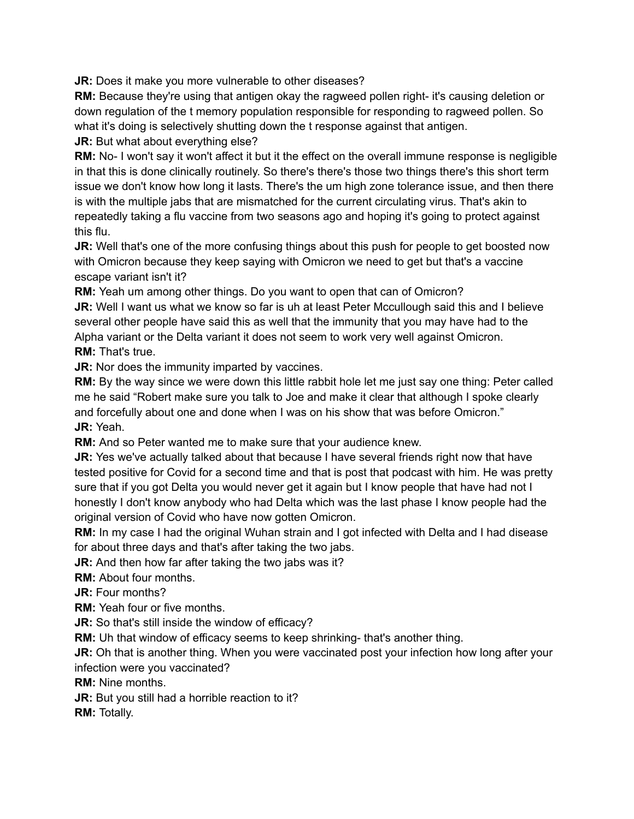**JR:** Does it make you more vulnerable to other diseases?

**RM:** Because they're using that antigen okay the ragweed pollen right- it's causing deletion or down regulation of the t memory population responsible for responding to ragweed pollen. So what it's doing is selectively shutting down the t response against that antigen.

**JR:** But what about everything else?

**RM:** No- I won't say it won't affect it but it the effect on the overall immune response is negligible in that this is done clinically routinely. So there's there's those two things there's this short term issue we don't know how long it lasts. There's the um high zone tolerance issue, and then there is with the multiple jabs that are mismatched for the current circulating virus. That's akin to repeatedly taking a flu vaccine from two seasons ago and hoping it's going to protect against this flu.

**JR:** Well that's one of the more confusing things about this push for people to get boosted now with Omicron because they keep saying with Omicron we need to get but that's a vaccine escape variant isn't it?

**RM:** Yeah um among other things. Do you want to open that can of Omicron?

**JR:** Well I want us what we know so far is uh at least Peter Mccullough said this and I believe several other people have said this as well that the immunity that you may have had to the Alpha variant or the Delta variant it does not seem to work very well against Omicron. **RM:** That's true.

**JR:** Nor does the immunity imparted by vaccines.

**RM:** By the way since we were down this little rabbit hole let me just say one thing: Peter called me he said "Robert make sure you talk to Joe and make it clear that although I spoke clearly and forcefully about one and done when I was on his show that was before Omicron." **JR:** Yeah.

**RM:** And so Peter wanted me to make sure that your audience knew.

**JR:** Yes we've actually talked about that because I have several friends right now that have tested positive for Covid for a second time and that is post that podcast with him. He was pretty sure that if you got Delta you would never get it again but I know people that have had not I honestly I don't know anybody who had Delta which was the last phase I know people had the original version of Covid who have now gotten Omicron.

**RM:** In my case I had the original Wuhan strain and I got infected with Delta and I had disease for about three days and that's after taking the two jabs.

**JR:** And then how far after taking the two jabs was it?

**RM:** About four months.

**JR:** Four months?

**RM:** Yeah four or five months.

**JR:** So that's still inside the window of efficacy?

**RM:** Uh that window of efficacy seems to keep shrinking- that's another thing.

**JR:** Oh that is another thing. When you were vaccinated post your infection how long after your infection were you vaccinated?

**RM:** Nine months.

**JR:** But you still had a horrible reaction to it?

**RM:** Totally.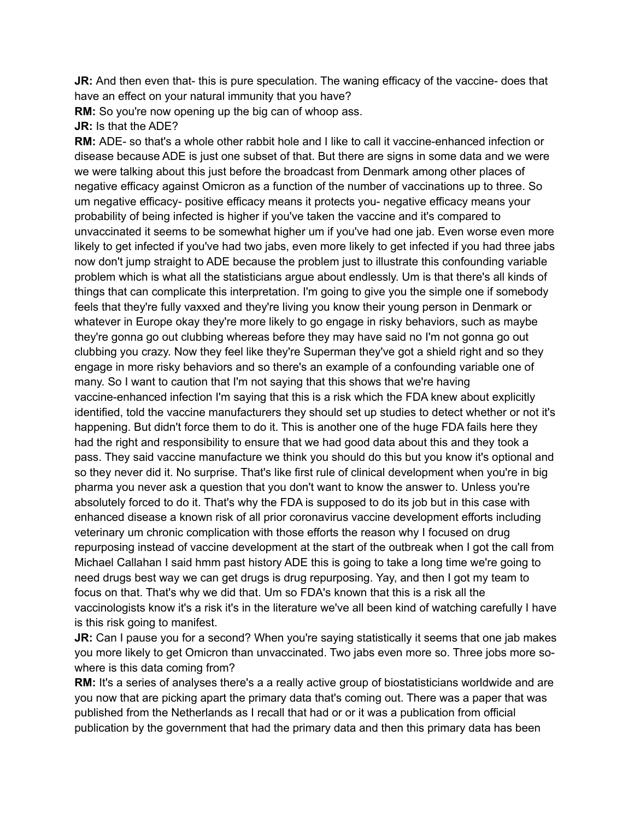**JR:** And then even that- this is pure speculation. The waning efficacy of the vaccine- does that have an effect on your natural immunity that you have?

**RM:** So you're now opening up the big can of whoop ass.

**JR:** Is that the ADE?

**RM:** ADE- so that's a whole other rabbit hole and I like to call it vaccine-enhanced infection or disease because ADE is just one subset of that. But there are signs in some data and we were we were talking about this just before the broadcast from Denmark among other places of negative efficacy against Omicron as a function of the number of vaccinations up to three. So um negative efficacy- positive efficacy means it protects you- negative efficacy means your probability of being infected is higher if you've taken the vaccine and it's compared to unvaccinated it seems to be somewhat higher um if you've had one jab. Even worse even more likely to get infected if you've had two jabs, even more likely to get infected if you had three jabs now don't jump straight to ADE because the problem just to illustrate this confounding variable problem which is what all the statisticians argue about endlessly. Um is that there's all kinds of things that can complicate this interpretation. I'm going to give you the simple one if somebody feels that they're fully vaxxed and they're living you know their young person in Denmark or whatever in Europe okay they're more likely to go engage in risky behaviors, such as maybe they're gonna go out clubbing whereas before they may have said no I'm not gonna go out clubbing you crazy. Now they feel like they're Superman they've got a shield right and so they engage in more risky behaviors and so there's an example of a confounding variable one of many. So I want to caution that I'm not saying that this shows that we're having vaccine-enhanced infection I'm saying that this is a risk which the FDA knew about explicitly identified, told the vaccine manufacturers they should set up studies to detect whether or not it's happening. But didn't force them to do it. This is another one of the huge FDA fails here they had the right and responsibility to ensure that we had good data about this and they took a pass. They said vaccine manufacture we think you should do this but you know it's optional and so they never did it. No surprise. That's like first rule of clinical development when you're in big pharma you never ask a question that you don't want to know the answer to. Unless you're absolutely forced to do it. That's why the FDA is supposed to do its job but in this case with enhanced disease a known risk of all prior coronavirus vaccine development efforts including veterinary um chronic complication with those efforts the reason why I focused on drug repurposing instead of vaccine development at the start of the outbreak when I got the call from Michael Callahan I said hmm past history ADE this is going to take a long time we're going to need drugs best way we can get drugs is drug repurposing. Yay, and then I got my team to focus on that. That's why we did that. Um so FDA's known that this is a risk all the vaccinologists know it's a risk it's in the literature we've all been kind of watching carefully I have is this risk going to manifest.

**JR:** Can I pause you for a second? When you're saying statistically it seems that one jab makes you more likely to get Omicron than unvaccinated. Two jabs even more so. Three jobs more sowhere is this data coming from?

**RM:** It's a series of analyses there's a a really active group of biostatisticians worldwide and are you now that are picking apart the primary data that's coming out. There was a paper that was published from the Netherlands as I recall that had or or it was a publication from official publication by the government that had the primary data and then this primary data has been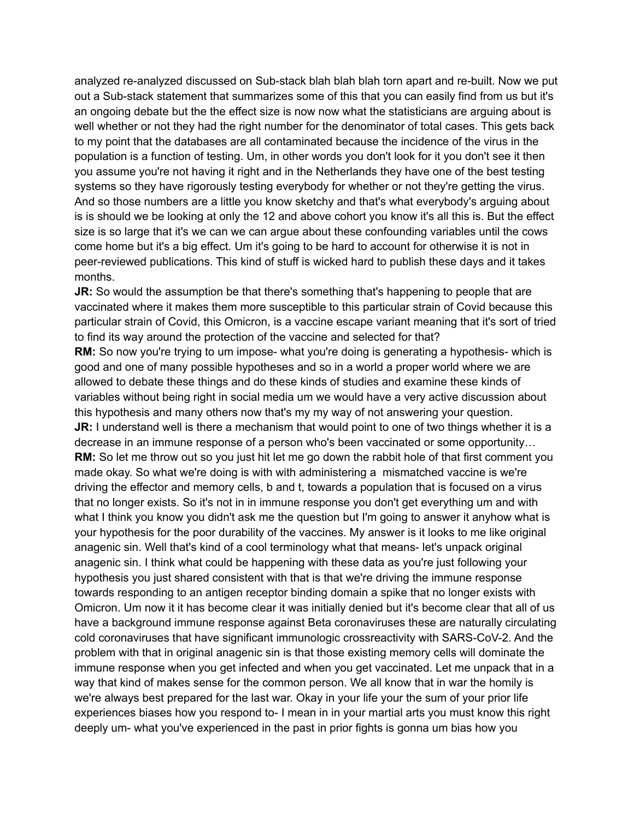analyzed re-analyzed discussed on Sub-stack blah blah blah torn apart and re-built. Now we put out a Sub-stack statement that summarizes some of this that you can easily find from us but it's an ongoing debate but the the effect size is now now what the statisticians are arguing about is well whether or not they had the right number for the denominator of total cases. This gets back to my point that the databases are all contaminated because the incidence of the virus in the population is a function of testing. Um, in other words you don't look for it you don't see it then you assume you're not having it right and in the Netherlands they have one of the best testing systems so they have rigorously testing everybody for whether or not they're getting the virus. And so those numbers are a little you know sketchy and that's what everybody's arguing about is is should we be looking at only the 12 and above cohort you know it's all this is. But the effect size is so large that it's we can we can argue about these confounding variables until the cows come home but it's a big effect. Um it's going to be hard to account for otherwise it is not in peer-reviewed publications. This kind of stuff is wicked hard to publish these days and it takes months.

**JR:** So would the assumption be that there's something that's happening to people that are vaccinated where it makes them more susceptible to this particular strain of Covid because this particular strain of Covid, this Omicron, is a vaccine escape variant meaning that it's sort of tried to find its way around the protection of the vaccine and selected for that?

**RM:** So now you're trying to um impose- what you're doing is generating a hypothesis- which is good and one of many possible hypotheses and so in a world a proper world where we are allowed to debate these things and do these kinds of studies and examine these kinds of variables without being right in social media um we would have a very active discussion about this hypothesis and many others now that's my my way of not answering your question. **JR:** I understand well is there a mechanism that would point to one of two things whether it is a decrease in an immune response of a person who's been vaccinated or some opportunity… **RM:** So let me throw out so you just hit let me go down the rabbit hole of that first comment you made okay. So what we're doing is with with administering a mismatched vaccine is we're driving the effector and memory cells, b and t, towards a population that is focused on a virus that no longer exists. So it's not in in immune response you don't get everything um and with what I think you know you didn't ask me the question but I'm going to answer it anyhow what is your hypothesis for the poor durability of the vaccines. My answer is it looks to me like original anagenic sin. Well that's kind of a cool terminology what that means- let's unpack original anagenic sin. I think what could be happening with these data as you're just following your hypothesis you just shared consistent with that is that we're driving the immune response towards responding to an antigen receptor binding domain a spike that no longer exists with Omicron. Um now it it has become clear it was initially denied but it's become clear that all of us have a background immune response against Beta coronaviruses these are naturally circulating cold coronaviruses that have significant immunologic crossreactivity with SARS-CoV-2. And the problem with that in original anagenic sin is that those existing memory cells will dominate the immune response when you get infected and when you get vaccinated. Let me unpack that in a way that kind of makes sense for the common person. We all know that in war the homily is we're always best prepared for the last war. Okay in your life your the sum of your prior life experiences biases how you respond to- I mean in in your martial arts you must know this right deeply um- what you've experienced in the past in prior fights is gonna um bias how you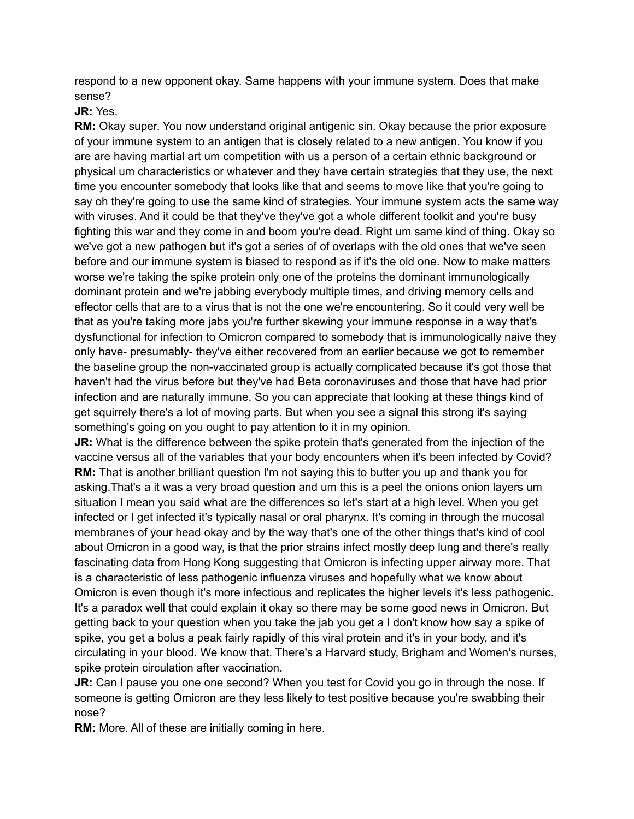respond to a new opponent okay. Same happens with your immune system. Does that make sense?

**JR:** Yes.

**RM:** Okay super. You now understand original antigenic sin. Okay because the prior exposure of your immune system to an antigen that is closely related to a new antigen. You know if you are are having martial art um competition with us a person of a certain ethnic background or physical um characteristics or whatever and they have certain strategies that they use, the next time you encounter somebody that looks like that and seems to move like that you're going to say oh they're going to use the same kind of strategies. Your immune system acts the same way with viruses. And it could be that they've they've got a whole different toolkit and you're busy fighting this war and they come in and boom you're dead. Right um same kind of thing. Okay so we've got a new pathogen but it's got a series of of overlaps with the old ones that we've seen before and our immune system is biased to respond as if it's the old one. Now to make matters worse we're taking the spike protein only one of the proteins the dominant immunologically dominant protein and we're jabbing everybody multiple times, and driving memory cells and effector cells that are to a virus that is not the one we're encountering. So it could very well be that as you're taking more jabs you're further skewing your immune response in a way that's dysfunctional for infection to Omicron compared to somebody that is immunologically naive they only have- presumably- they've either recovered from an earlier because we got to remember the baseline group the non-vaccinated group is actually complicated because it's got those that haven't had the virus before but they've had Beta coronaviruses and those that have had prior infection and are naturally immune. So you can appreciate that looking at these things kind of get squirrely there's a lot of moving parts. But when you see a signal this strong it's saying something's going on you ought to pay attention to it in my opinion.

**JR:** What is the difference between the spike protein that's generated from the injection of the vaccine versus all of the variables that your body encounters when it's been infected by Covid? **RM:** That is another brilliant question I'm not saying this to butter you up and thank you for asking.That's a it was a very broad question and um this is a peel the onions onion layers um situation I mean you said what are the differences so let's start at a high level. When you get infected or I get infected it's typically nasal or oral pharynx. It's coming in through the mucosal membranes of your head okay and by the way that's one of the other things that's kind of cool about Omicron in a good way, is that the prior strains infect mostly deep lung and there's really fascinating data from Hong Kong suggesting that Omicron is infecting upper airway more. That is a characteristic of less pathogenic influenza viruses and hopefully what we know about Omicron is even though it's more infectious and replicates the higher levels it's less pathogenic. It's a paradox well that could explain it okay so there may be some good news in Omicron. But getting back to your question when you take the jab you get a I don't know how say a spike of spike, you get a bolus a peak fairly rapidly of this viral protein and it's in your body, and it's circulating in your blood. We know that. There's a Harvard study, Brigham and Women's nurses, spike protein circulation after vaccination.

**JR:** Can I pause you one one second? When you test for Covid you go in through the nose. If someone is getting Omicron are they less likely to test positive because you're swabbing their nose?

**RM:** More. All of these are initially coming in here.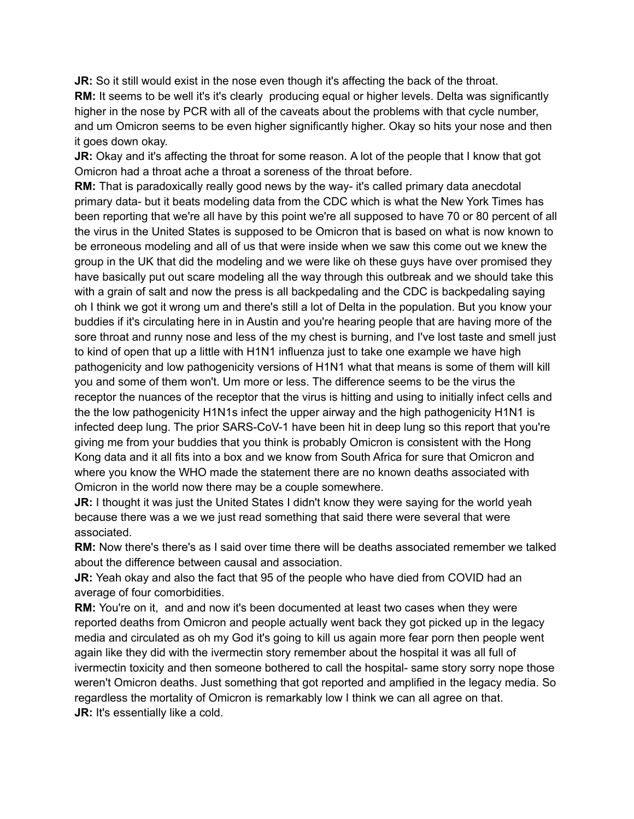**JR:** So it still would exist in the nose even though it's affecting the back of the throat. **RM:** It seems to be well it's it's clearly producing equal or higher levels. Delta was significantly higher in the nose by PCR with all of the caveats about the problems with that cycle number, and um Omicron seems to be even higher significantly higher. Okay so hits your nose and then it goes down okay.

**JR:** Okay and it's affecting the throat for some reason. A lot of the people that I know that got Omicron had a throat ache a throat a soreness of the throat before.

**RM:** That is paradoxically really good news by the way- it's called primary data anecdotal primary data- but it beats modeling data from the CDC which is what the New York Times has been reporting that we're all have by this point we're all supposed to have 70 or 80 percent of all the virus in the United States is supposed to be Omicron that is based on what is now known to be erroneous modeling and all of us that were inside when we saw this come out we knew the group in the UK that did the modeling and we were like oh these guys have over promised they have basically put out scare modeling all the way through this outbreak and we should take this with a grain of salt and now the press is all backpedaling and the CDC is backpedaling saying oh I think we got it wrong um and there's still a lot of Delta in the population. But you know your buddies if it's circulating here in in Austin and you're hearing people that are having more of the sore throat and runny nose and less of the my chest is burning, and I've lost taste and smell just to kind of open that up a little with H1N1 influenza just to take one example we have high pathogenicity and low pathogenicity versions of H1N1 what that means is some of them will kill you and some of them won't. Um more or less. The difference seems to be the virus the receptor the nuances of the receptor that the virus is hitting and using to initially infect cells and the the low pathogenicity H1N1s infect the upper airway and the high pathogenicity H1N1 is infected deep lung. The prior SARS-CoV-1 have been hit in deep lung so this report that you're giving me from your buddies that you think is probably Omicron is consistent with the Hong Kong data and it all fits into a box and we know from South Africa for sure that Omicron and where you know the WHO made the statement there are no known deaths associated with Omicron in the world now there may be a couple somewhere.

**JR:** I thought it was just the United States I didn't know they were saying for the world yeah because there was a we we just read something that said there were several that were associated.

**RM:** Now there's there's as I said over time there will be deaths associated remember we talked about the difference between causal and association.

**JR:** Yeah okay and also the fact that 95 of the people who have died from COVID had an average of four comorbidities.

**RM:** You're on it, and and now it's been documented at least two cases when they were reported deaths from Omicron and people actually went back they got picked up in the legacy media and circulated as oh my God it's going to kill us again more fear porn then people went again like they did with the ivermectin story remember about the hospital it was all full of ivermectin toxicity and then someone bothered to call the hospital- same story sorry nope those weren't Omicron deaths. Just something that got reported and amplified in the legacy media. So regardless the mortality of Omicron is remarkably low I think we can all agree on that. **JR:** It's essentially like a cold.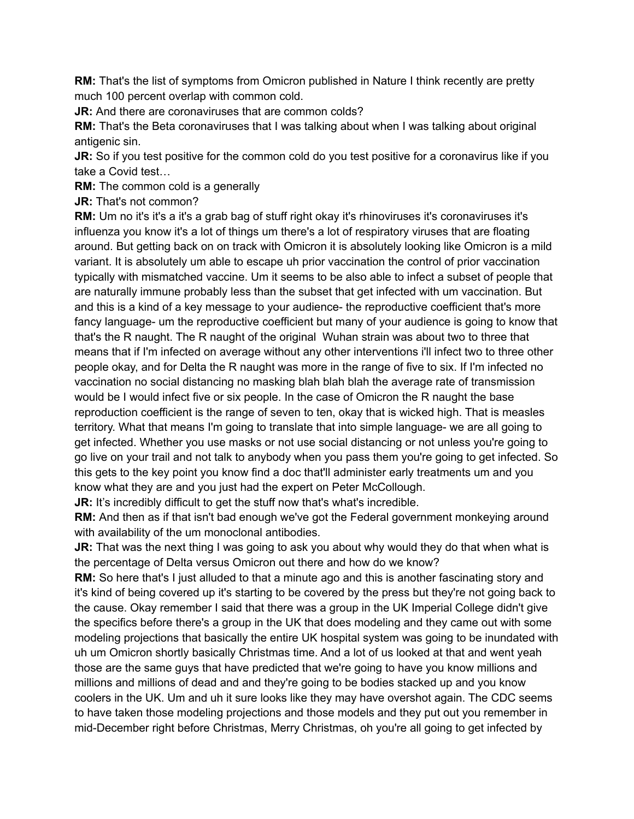**RM:** That's the list of symptoms from Omicron published in Nature I think recently are pretty much 100 percent overlap with common cold.

**JR:** And there are coronaviruses that are common colds?

**RM:** That's the Beta coronaviruses that I was talking about when I was talking about original antigenic sin.

**JR:** So if you test positive for the common cold do you test positive for a coronavirus like if you take a Covid test…

**RM:** The common cold is a generally

**JR:** That's not common?

**RM:** Um no it's it's a it's a grab bag of stuff right okay it's rhinoviruses it's coronaviruses it's influenza you know it's a lot of things um there's a lot of respiratory viruses that are floating around. But getting back on on track with Omicron it is absolutely looking like Omicron is a mild variant. It is absolutely um able to escape uh prior vaccination the control of prior vaccination typically with mismatched vaccine. Um it seems to be also able to infect a subset of people that are naturally immune probably less than the subset that get infected with um vaccination. But and this is a kind of a key message to your audience- the reproductive coefficient that's more fancy language- um the reproductive coefficient but many of your audience is going to know that that's the R naught. The R naught of the original Wuhan strain was about two to three that means that if I'm infected on average without any other interventions i'll infect two to three other people okay, and for Delta the R naught was more in the range of five to six. If I'm infected no vaccination no social distancing no masking blah blah blah the average rate of transmission would be I would infect five or six people. In the case of Omicron the R naught the base reproduction coefficient is the range of seven to ten, okay that is wicked high. That is measles territory. What that means I'm going to translate that into simple language- we are all going to get infected. Whether you use masks or not use social distancing or not unless you're going to go live on your trail and not talk to anybody when you pass them you're going to get infected. So this gets to the key point you know find a doc that'll administer early treatments um and you know what they are and you just had the expert on Peter McCollough.

**JR:** It's incredibly difficult to get the stuff now that's what's incredible.

**RM:** And then as if that isn't bad enough we've got the Federal government monkeying around with availability of the um monoclonal antibodies.

**JR:** That was the next thing I was going to ask you about why would they do that when what is the percentage of Delta versus Omicron out there and how do we know?

**RM:** So here that's I just alluded to that a minute ago and this is another fascinating story and it's kind of being covered up it's starting to be covered by the press but they're not going back to the cause. Okay remember I said that there was a group in the UK Imperial College didn't give the specifics before there's a group in the UK that does modeling and they came out with some modeling projections that basically the entire UK hospital system was going to be inundated with uh um Omicron shortly basically Christmas time. And a lot of us looked at that and went yeah those are the same guys that have predicted that we're going to have you know millions and millions and millions of dead and and they're going to be bodies stacked up and you know coolers in the UK. Um and uh it sure looks like they may have overshot again. The CDC seems to have taken those modeling projections and those models and they put out you remember in mid-December right before Christmas, Merry Christmas, oh you're all going to get infected by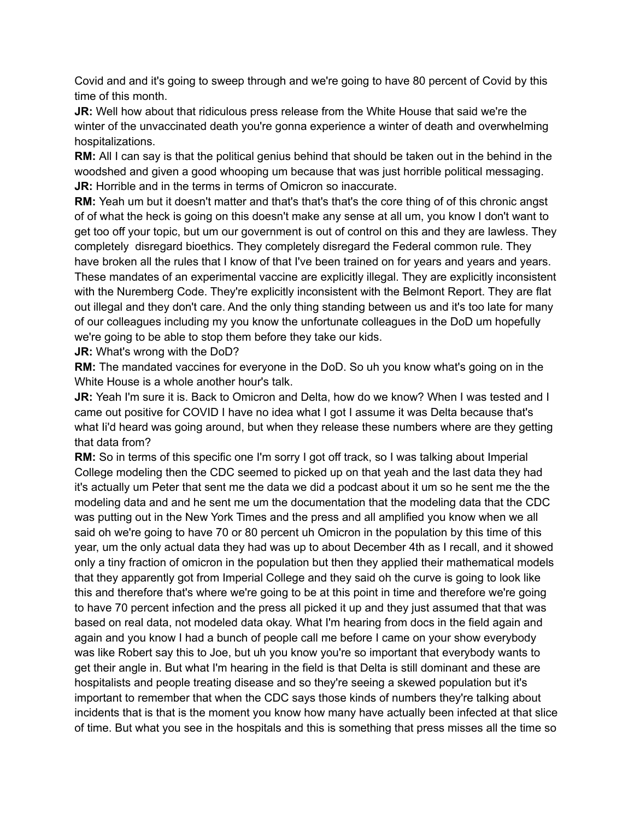Covid and and it's going to sweep through and we're going to have 80 percent of Covid by this time of this month.

**JR:** Well how about that ridiculous press release from the White House that said we're the winter of the unvaccinated death you're gonna experience a winter of death and overwhelming hospitalizations.

**RM:** All I can say is that the political genius behind that should be taken out in the behind in the woodshed and given a good whooping um because that was just horrible political messaging. **JR:** Horrible and in the terms in terms of Omicron so inaccurate.

**RM:** Yeah um but it doesn't matter and that's that's that's the core thing of of this chronic angst of of what the heck is going on this doesn't make any sense at all um, you know I don't want to get too off your topic, but um our government is out of control on this and they are lawless. They completely disregard bioethics. They completely disregard the Federal common rule. They have broken all the rules that I know of that I've been trained on for years and years and years. These mandates of an experimental vaccine are explicitly illegal. They are explicitly inconsistent with the Nuremberg Code. They're explicitly inconsistent with the Belmont Report. They are flat out illegal and they don't care. And the only thing standing between us and it's too late for many of our colleagues including my you know the unfortunate colleagues in the DoD um hopefully we're going to be able to stop them before they take our kids.

**JR:** What's wrong with the DoD?

**RM:** The mandated vaccines for everyone in the DoD. So uh you know what's going on in the White House is a whole another hour's talk.

**JR:** Yeah I'm sure it is. Back to Omicron and Delta, how do we know? When I was tested and I came out positive for COVID I have no idea what I got I assume it was Delta because that's what Ii'd heard was going around, but when they release these numbers where are they getting that data from?

**RM:** So in terms of this specific one I'm sorry I got off track, so I was talking about Imperial College modeling then the CDC seemed to picked up on that yeah and the last data they had it's actually um Peter that sent me the data we did a podcast about it um so he sent me the the modeling data and and he sent me um the documentation that the modeling data that the CDC was putting out in the New York Times and the press and all amplified you know when we all said oh we're going to have 70 or 80 percent uh Omicron in the population by this time of this year, um the only actual data they had was up to about December 4th as I recall, and it showed only a tiny fraction of omicron in the population but then they applied their mathematical models that they apparently got from Imperial College and they said oh the curve is going to look like this and therefore that's where we're going to be at this point in time and therefore we're going to have 70 percent infection and the press all picked it up and they just assumed that that was based on real data, not modeled data okay. What I'm hearing from docs in the field again and again and you know I had a bunch of people call me before I came on your show everybody was like Robert say this to Joe, but uh you know you're so important that everybody wants to get their angle in. But what I'm hearing in the field is that Delta is still dominant and these are hospitalists and people treating disease and so they're seeing a skewed population but it's important to remember that when the CDC says those kinds of numbers they're talking about incidents that is that is the moment you know how many have actually been infected at that slice of time. But what you see in the hospitals and this is something that press misses all the time so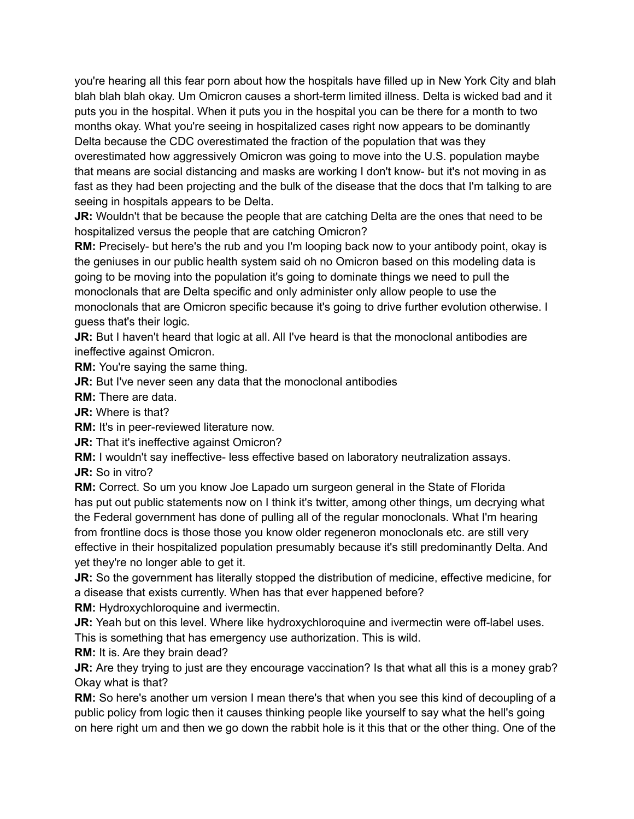you're hearing all this fear porn about how the hospitals have filled up in New York City and blah blah blah blah okay. Um Omicron causes a short-term limited illness. Delta is wicked bad and it puts you in the hospital. When it puts you in the hospital you can be there for a month to two months okay. What you're seeing in hospitalized cases right now appears to be dominantly Delta because the CDC overestimated the fraction of the population that was they

overestimated how aggressively Omicron was going to move into the U.S. population maybe that means are social distancing and masks are working I don't know- but it's not moving in as fast as they had been projecting and the bulk of the disease that the docs that I'm talking to are seeing in hospitals appears to be Delta.

**JR:** Wouldn't that be because the people that are catching Delta are the ones that need to be hospitalized versus the people that are catching Omicron?

**RM:** Precisely- but here's the rub and you I'm looping back now to your antibody point, okay is the geniuses in our public health system said oh no Omicron based on this modeling data is going to be moving into the population it's going to dominate things we need to pull the monoclonals that are Delta specific and only administer only allow people to use the monoclonals that are Omicron specific because it's going to drive further evolution otherwise. I guess that's their logic.

**JR:** But I haven't heard that logic at all. All I've heard is that the monoclonal antibodies are ineffective against Omicron.

**RM:** You're saying the same thing.

**JR:** But I've never seen any data that the monoclonal antibodies

**RM:** There are data.

**JR:** Where is that?

**RM:** It's in peer-reviewed literature now.

**JR:** That it's ineffective against Omicron?

**RM:** I wouldn't say ineffective- less effective based on laboratory neutralization assays. **JR:** So in vitro?

**RM:** Correct. So um you know Joe Lapado um surgeon general in the State of Florida has put out public statements now on I think it's twitter, among other things, um decrying what the Federal government has done of pulling all of the regular monoclonals. What I'm hearing from frontline docs is those those you know older regeneron monoclonals etc. are still very effective in their hospitalized population presumably because it's still predominantly Delta. And yet they're no longer able to get it.

**JR:** So the government has literally stopped the distribution of medicine, effective medicine, for a disease that exists currently. When has that ever happened before?

**RM:** Hydroxychloroquine and ivermectin.

**JR:** Yeah but on this level. Where like hydroxychloroquine and ivermectin were off-label uses. This is something that has emergency use authorization. This is wild.

**RM:** It is. Are they brain dead?

**JR:** Are they trying to just are they encourage vaccination? Is that what all this is a money grab? Okay what is that?

**RM:** So here's another um version I mean there's that when you see this kind of decoupling of a public policy from logic then it causes thinking people like yourself to say what the hell's going on here right um and then we go down the rabbit hole is it this that or the other thing. One of the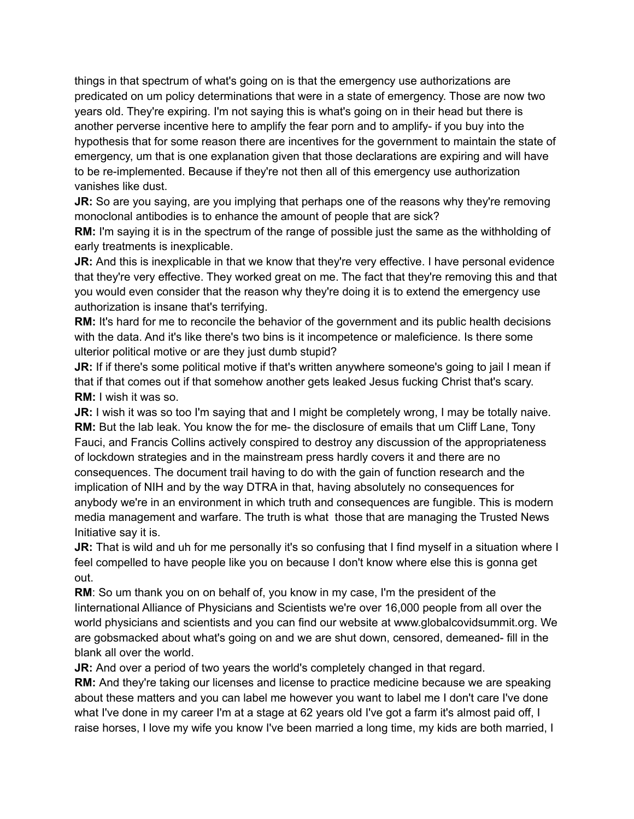things in that spectrum of what's going on is that the emergency use authorizations are predicated on um policy determinations that were in a state of emergency. Those are now two years old. They're expiring. I'm not saying this is what's going on in their head but there is another perverse incentive here to amplify the fear porn and to amplify- if you buy into the hypothesis that for some reason there are incentives for the government to maintain the state of emergency, um that is one explanation given that those declarations are expiring and will have to be re-implemented. Because if they're not then all of this emergency use authorization vanishes like dust.

**JR:** So are you saying, are you implying that perhaps one of the reasons why they're removing monoclonal antibodies is to enhance the amount of people that are sick?

**RM:** I'm saying it is in the spectrum of the range of possible just the same as the withholding of early treatments is inexplicable.

**JR:** And this is inexplicable in that we know that they're very effective. I have personal evidence that they're very effective. They worked great on me. The fact that they're removing this and that you would even consider that the reason why they're doing it is to extend the emergency use authorization is insane that's terrifying.

**RM:** It's hard for me to reconcile the behavior of the government and its public health decisions with the data. And it's like there's two bins is it incompetence or maleficience. Is there some ulterior political motive or are they just dumb stupid?

**JR:** If if there's some political motive if that's written anywhere someone's going to jail I mean if that if that comes out if that somehow another gets leaked Jesus fucking Christ that's scary. **RM:** I wish it was so.

**JR:** I wish it was so too I'm saying that and I might be completely wrong, I may be totally naive. **RM:** But the lab leak. You know the for me- the disclosure of emails that um Cliff Lane, Tony Fauci, and Francis Collins actively conspired to destroy any discussion of the appropriateness of lockdown strategies and in the mainstream press hardly covers it and there are no consequences. The document trail having to do with the gain of function research and the implication of NIH and by the way DTRA in that, having absolutely no consequences for anybody we're in an environment in which truth and consequences are fungible. This is modern media management and warfare. The truth is what those that are managing the Trusted News Initiative say it is.

**JR:** That is wild and uh for me personally it's so confusing that I find myself in a situation where I feel compelled to have people like you on because I don't know where else this is gonna get out.

**RM**: So um thank you on on behalf of, you know in my case, I'm the president of the Iinternational Alliance of Physicians and Scientists we're over 16,000 people from all over the world physicians and scientists and you can find our website at www.globalcovidsummit.org. We are gobsmacked about what's going on and we are shut down, censored, demeaned- fill in the blank all over the world.

**JR:** And over a period of two years the world's completely changed in that regard.

**RM:** And they're taking our licenses and license to practice medicine because we are speaking about these matters and you can label me however you want to label me I don't care I've done what I've done in my career I'm at a stage at 62 years old I've got a farm it's almost paid off, I raise horses, I love my wife you know I've been married a long time, my kids are both married, I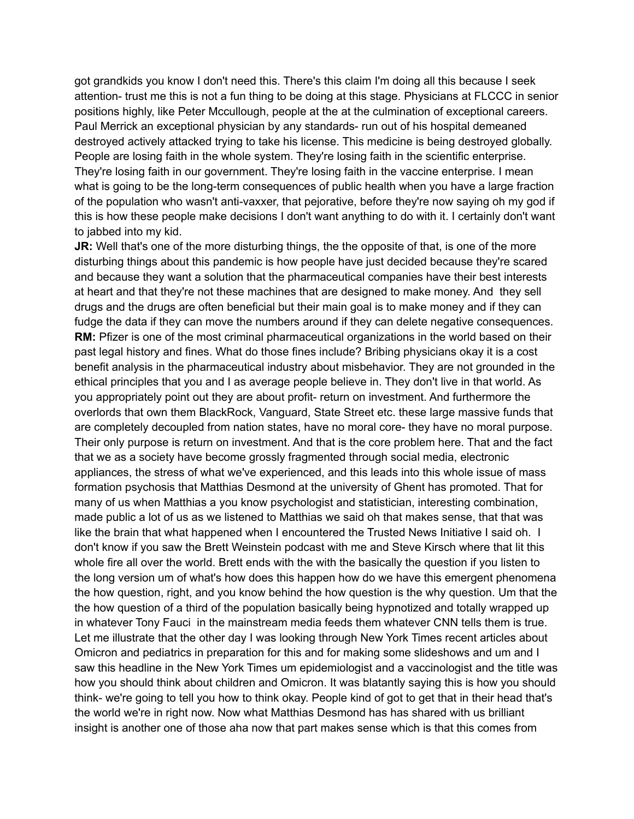got grandkids you know I don't need this. There's this claim I'm doing all this because I seek attention- trust me this is not a fun thing to be doing at this stage. Physicians at FLCCC in senior positions highly, like Peter Mccullough, people at the at the culmination of exceptional careers. Paul Merrick an exceptional physician by any standards- run out of his hospital demeaned destroyed actively attacked trying to take his license. This medicine is being destroyed globally. People are losing faith in the whole system. They're losing faith in the scientific enterprise. They're losing faith in our government. They're losing faith in the vaccine enterprise. I mean what is going to be the long-term consequences of public health when you have a large fraction of the population who wasn't anti-vaxxer, that pejorative, before they're now saying oh my god if this is how these people make decisions I don't want anything to do with it. I certainly don't want to jabbed into my kid.

**JR:** Well that's one of the more disturbing things, the the opposite of that, is one of the more disturbing things about this pandemic is how people have just decided because they're scared and because they want a solution that the pharmaceutical companies have their best interests at heart and that they're not these machines that are designed to make money. And they sell drugs and the drugs are often beneficial but their main goal is to make money and if they can fudge the data if they can move the numbers around if they can delete negative consequences. **RM:** Pfizer is one of the most criminal pharmaceutical organizations in the world based on their past legal history and fines. What do those fines include? Bribing physicians okay it is a cost benefit analysis in the pharmaceutical industry about misbehavior. They are not grounded in the ethical principles that you and I as average people believe in. They don't live in that world. As you appropriately point out they are about profit- return on investment. And furthermore the overlords that own them BlackRock, Vanguard, State Street etc. these large massive funds that are completely decoupled from nation states, have no moral core- they have no moral purpose. Their only purpose is return on investment. And that is the core problem here. That and the fact that we as a society have become grossly fragmented through social media, electronic appliances, the stress of what we've experienced, and this leads into this whole issue of mass formation psychosis that Matthias Desmond at the university of Ghent has promoted. That for many of us when Matthias a you know psychologist and statistician, interesting combination, made public a lot of us as we listened to Matthias we said oh that makes sense, that that was like the brain that what happened when I encountered the Trusted News Initiative I said oh. I don't know if you saw the Brett Weinstein podcast with me and Steve Kirsch where that lit this whole fire all over the world. Brett ends with the with the basically the question if you listen to the long version um of what's how does this happen how do we have this emergent phenomena the how question, right, and you know behind the how question is the why question. Um that the the how question of a third of the population basically being hypnotized and totally wrapped up in whatever Tony Fauci in the mainstream media feeds them whatever CNN tells them is true. Let me illustrate that the other day I was looking through New York Times recent articles about Omicron and pediatrics in preparation for this and for making some slideshows and um and I saw this headline in the New York Times um epidemiologist and a vaccinologist and the title was how you should think about children and Omicron. It was blatantly saying this is how you should think- we're going to tell you how to think okay. People kind of got to get that in their head that's the world we're in right now. Now what Matthias Desmond has has shared with us brilliant insight is another one of those aha now that part makes sense which is that this comes from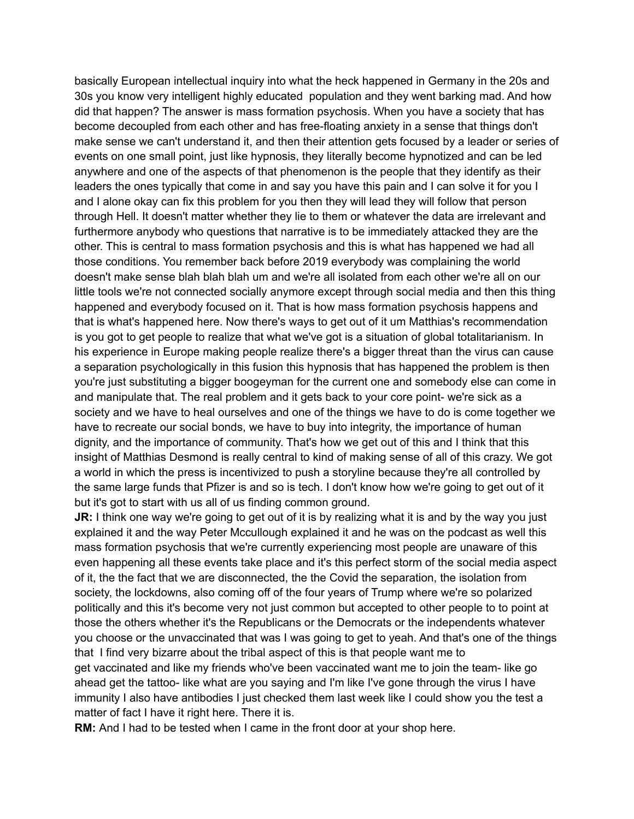basically European intellectual inquiry into what the heck happened in Germany in the 20s and 30s you know very intelligent highly educated population and they went barking mad. And how did that happen? The answer is mass formation psychosis. When you have a society that has become decoupled from each other and has free-floating anxiety in a sense that things don't make sense we can't understand it, and then their attention gets focused by a leader or series of events on one small point, just like hypnosis, they literally become hypnotized and can be led anywhere and one of the aspects of that phenomenon is the people that they identify as their leaders the ones typically that come in and say you have this pain and I can solve it for you I and I alone okay can fix this problem for you then they will lead they will follow that person through Hell. It doesn't matter whether they lie to them or whatever the data are irrelevant and furthermore anybody who questions that narrative is to be immediately attacked they are the other. This is central to mass formation psychosis and this is what has happened we had all those conditions. You remember back before 2019 everybody was complaining the world doesn't make sense blah blah blah um and we're all isolated from each other we're all on our little tools we're not connected socially anymore except through social media and then this thing happened and everybody focused on it. That is how mass formation psychosis happens and that is what's happened here. Now there's ways to get out of it um Matthias's recommendation is you got to get people to realize that what we've got is a situation of global totalitarianism. In his experience in Europe making people realize there's a bigger threat than the virus can cause a separation psychologically in this fusion this hypnosis that has happened the problem is then you're just substituting a bigger boogeyman for the current one and somebody else can come in and manipulate that. The real problem and it gets back to your core point- we're sick as a society and we have to heal ourselves and one of the things we have to do is come together we have to recreate our social bonds, we have to buy into integrity, the importance of human dignity, and the importance of community. That's how we get out of this and I think that this insight of Matthias Desmond is really central to kind of making sense of all of this crazy. We got a world in which the press is incentivized to push a storyline because they're all controlled by the same large funds that Pfizer is and so is tech. I don't know how we're going to get out of it but it's got to start with us all of us finding common ground.

**JR:** I think one way we're going to get out of it is by realizing what it is and by the way you just explained it and the way Peter Mccullough explained it and he was on the podcast as well this mass formation psychosis that we're currently experiencing most people are unaware of this even happening all these events take place and it's this perfect storm of the social media aspect of it, the the fact that we are disconnected, the the Covid the separation, the isolation from society, the lockdowns, also coming off of the four years of Trump where we're so polarized politically and this it's become very not just common but accepted to other people to to point at those the others whether it's the Republicans or the Democrats or the independents whatever you choose or the unvaccinated that was I was going to get to yeah. And that's one of the things that I find very bizarre about the tribal aspect of this is that people want me to get vaccinated and like my friends who've been vaccinated want me to join the team- like go ahead get the tattoo- like what are you saying and I'm like I've gone through the virus I have immunity I also have antibodies I just checked them last week like I could show you the test a matter of fact I have it right here. There it is.

**RM:** And I had to be tested when I came in the front door at your shop here.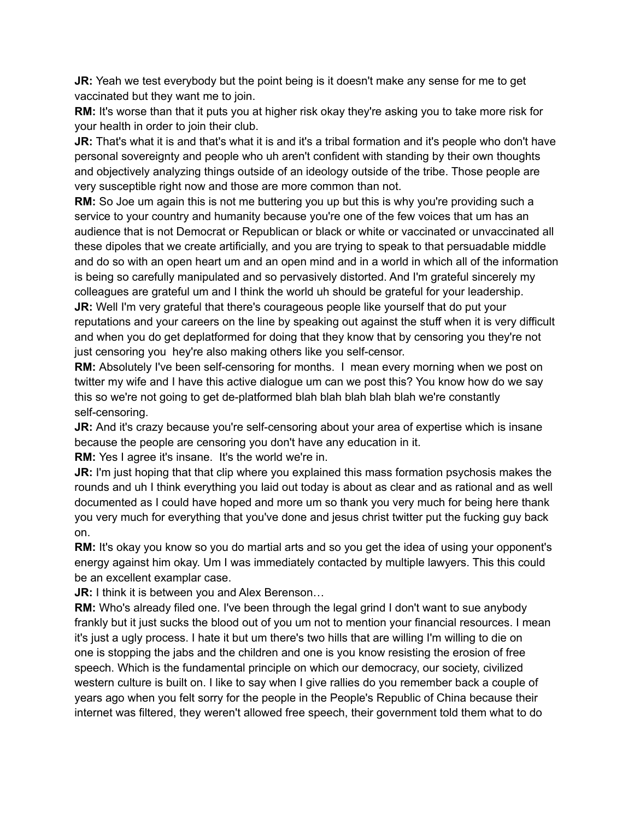**JR:** Yeah we test everybody but the point being is it doesn't make any sense for me to get vaccinated but they want me to join.

**RM:** It's worse than that it puts you at higher risk okay they're asking you to take more risk for your health in order to join their club.

**JR:** That's what it is and that's what it is and it's a tribal formation and it's people who don't have personal sovereignty and people who uh aren't confident with standing by their own thoughts and objectively analyzing things outside of an ideology outside of the tribe. Those people are very susceptible right now and those are more common than not.

**RM:** So Joe um again this is not me buttering you up but this is why you're providing such a service to your country and humanity because you're one of the few voices that um has an audience that is not Democrat or Republican or black or white or vaccinated or unvaccinated all these dipoles that we create artificially, and you are trying to speak to that persuadable middle and do so with an open heart um and an open mind and in a world in which all of the information is being so carefully manipulated and so pervasively distorted. And I'm grateful sincerely my colleagues are grateful um and I think the world uh should be grateful for your leadership.

**JR:** Well I'm very grateful that there's courageous people like yourself that do put your reputations and your careers on the line by speaking out against the stuff when it is very difficult and when you do get deplatformed for doing that they know that by censoring you they're not just censoring you hey're also making others like you self-censor.

**RM:** Absolutely I've been self-censoring for months. I mean every morning when we post on twitter my wife and I have this active dialogue um can we post this? You know how do we say this so we're not going to get de-platformed blah blah blah blah blah we're constantly self-censoring.

**JR:** And it's crazy because you're self-censoring about your area of expertise which is insane because the people are censoring you don't have any education in it.

**RM:** Yes I agree it's insane. It's the world we're in.

**JR:** I'm just hoping that that clip where you explained this mass formation psychosis makes the rounds and uh I think everything you laid out today is about as clear and as rational and as well documented as I could have hoped and more um so thank you very much for being here thank you very much for everything that you've done and jesus christ twitter put the fucking guy back on.

**RM:** It's okay you know so you do martial arts and so you get the idea of using your opponent's energy against him okay. Um I was immediately contacted by multiple lawyers. This this could be an excellent examplar case.

**JR:** I think it is between you and Alex Berenson...

**RM:** Who's already filed one. I've been through the legal grind I don't want to sue anybody frankly but it just sucks the blood out of you um not to mention your financial resources. I mean it's just a ugly process. I hate it but um there's two hills that are willing I'm willing to die on one is stopping the jabs and the children and one is you know resisting the erosion of free speech. Which is the fundamental principle on which our democracy, our society, civilized western culture is built on. I like to say when I give rallies do you remember back a couple of years ago when you felt sorry for the people in the People's Republic of China because their internet was filtered, they weren't allowed free speech, their government told them what to do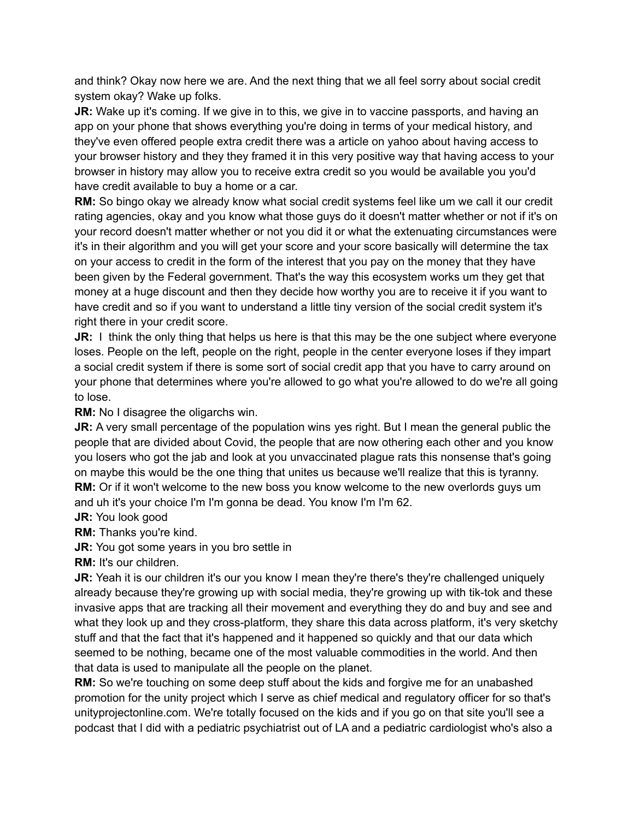and think? Okay now here we are. And the next thing that we all feel sorry about social credit system okay? Wake up folks.

**JR:** Wake up it's coming. If we give in to this, we give in to vaccine passports, and having an app on your phone that shows everything you're doing in terms of your medical history, and they've even offered people extra credit there was a article on yahoo about having access to your browser history and they they framed it in this very positive way that having access to your browser in history may allow you to receive extra credit so you would be available you you'd have credit available to buy a home or a car.

**RM:** So bingo okay we already know what social credit systems feel like um we call it our credit rating agencies, okay and you know what those guys do it doesn't matter whether or not if it's on your record doesn't matter whether or not you did it or what the extenuating circumstances were it's in their algorithm and you will get your score and your score basically will determine the tax on your access to credit in the form of the interest that you pay on the money that they have been given by the Federal government. That's the way this ecosystem works um they get that money at a huge discount and then they decide how worthy you are to receive it if you want to have credit and so if you want to understand a little tiny version of the social credit system it's right there in your credit score.

**JR:** I think the only thing that helps us here is that this may be the one subject where everyone loses. People on the left, people on the right, people in the center everyone loses if they impart a social credit system if there is some sort of social credit app that you have to carry around on your phone that determines where you're allowed to go what you're allowed to do we're all going to lose.

**RM:** No I disagree the oligarchs win.

**JR:** A very small percentage of the population wins yes right. But I mean the general public the people that are divided about Covid, the people that are now othering each other and you know you losers who got the jab and look at you unvaccinated plague rats this nonsense that's going on maybe this would be the one thing that unites us because we'll realize that this is tyranny. **RM:** Or if it won't welcome to the new boss you know welcome to the new overlords guys um and uh it's your choice I'm I'm gonna be dead. You know I'm I'm 62.

**JR:** You look good

**RM:** Thanks you're kind.

**JR:** You got some years in you bro settle in

**RM:** It's our children.

**JR:** Yeah it is our children it's our you know I mean they're there's they're challenged uniquely already because they're growing up with social media, they're growing up with tik-tok and these invasive apps that are tracking all their movement and everything they do and buy and see and what they look up and they cross-platform, they share this data across platform, it's very sketchy stuff and that the fact that it's happened and it happened so quickly and that our data which seemed to be nothing, became one of the most valuable commodities in the world. And then that data is used to manipulate all the people on the planet.

**RM:** So we're touching on some deep stuff about the kids and forgive me for an unabashed promotion for the unity project which I serve as chief medical and regulatory officer for so that's unityprojectonline.com. We're totally focused on the kids and if you go on that site you'll see a podcast that I did with a pediatric psychiatrist out of LA and a pediatric cardiologist who's also a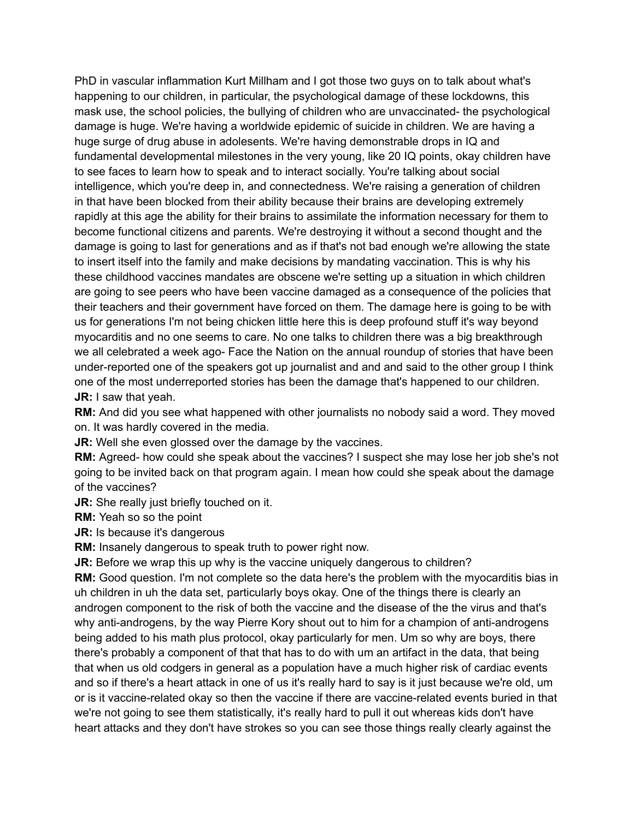PhD in vascular inflammation Kurt Millham and I got those two guys on to talk about what's happening to our children, in particular, the psychological damage of these lockdowns, this mask use, the school policies, the bullying of children who are unvaccinated- the psychological damage is huge. We're having a worldwide epidemic of suicide in children. We are having a huge surge of drug abuse in adolesents. We're having demonstrable drops in IQ and fundamental developmental milestones in the very young, like 20 IQ points, okay children have to see faces to learn how to speak and to interact socially. You're talking about social intelligence, which you're deep in, and connectedness. We're raising a generation of children in that have been blocked from their ability because their brains are developing extremely rapidly at this age the ability for their brains to assimilate the information necessary for them to become functional citizens and parents. We're destroying it without a second thought and the damage is going to last for generations and as if that's not bad enough we're allowing the state to insert itself into the family and make decisions by mandating vaccination. This is why his these childhood vaccines mandates are obscene we're setting up a situation in which children are going to see peers who have been vaccine damaged as a consequence of the policies that their teachers and their government have forced on them. The damage here is going to be with us for generations I'm not being chicken little here this is deep profound stuff it's way beyond myocarditis and no one seems to care. No one talks to children there was a big breakthrough we all celebrated a week ago- Face the Nation on the annual roundup of stories that have been under-reported one of the speakers got up journalist and and and said to the other group I think one of the most underreported stories has been the damage that's happened to our children. **JR:** I saw that yeah.

**RM:** And did you see what happened with other journalists no nobody said a word. They moved on. It was hardly covered in the media.

**JR:** Well she even glossed over the damage by the vaccines.

**RM:** Agreed- how could she speak about the vaccines? I suspect she may lose her job she's not going to be invited back on that program again. I mean how could she speak about the damage of the vaccines?

**JR:** She really just briefly touched on it.

**RM:** Yeah so so the point

**JR:** Is because it's dangerous

**RM:** Insanely dangerous to speak truth to power right now.

**JR:** Before we wrap this up why is the vaccine uniquely dangerous to children? **RM:** Good question. I'm not complete so the data here's the problem with the myocarditis bias in uh children in uh the data set, particularly boys okay. One of the things there is clearly an androgen component to the risk of both the vaccine and the disease of the the virus and that's why anti-androgens, by the way Pierre Kory shout out to him for a champion of anti-androgens being added to his math plus protocol, okay particularly for men. Um so why are boys, there there's probably a component of that that has to do with um an artifact in the data, that being that when us old codgers in general as a population have a much higher risk of cardiac events and so if there's a heart attack in one of us it's really hard to say is it just because we're old, um or is it vaccine-related okay so then the vaccine if there are vaccine-related events buried in that we're not going to see them statistically, it's really hard to pull it out whereas kids don't have heart attacks and they don't have strokes so you can see those things really clearly against the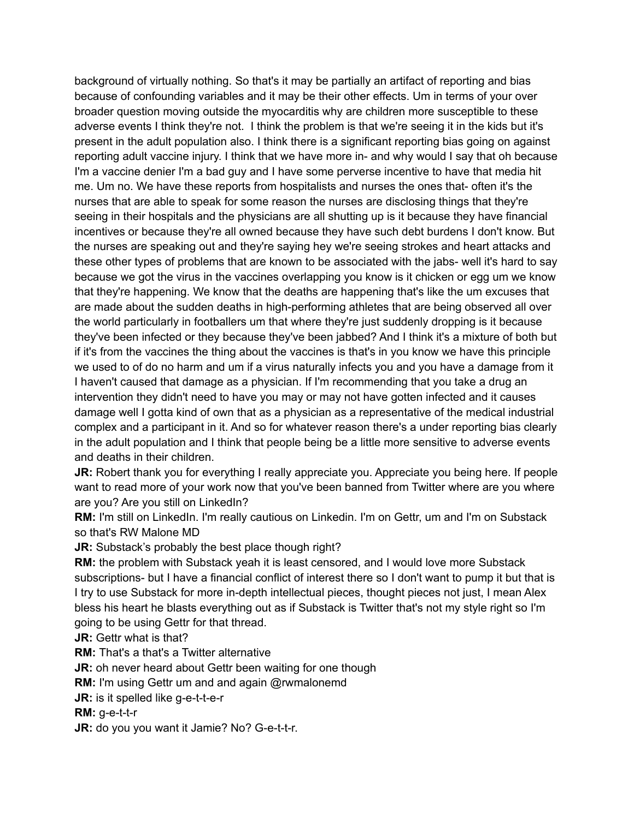background of virtually nothing. So that's it may be partially an artifact of reporting and bias because of confounding variables and it may be their other effects. Um in terms of your over broader question moving outside the myocarditis why are children more susceptible to these adverse events I think they're not. I think the problem is that we're seeing it in the kids but it's present in the adult population also. I think there is a significant reporting bias going on against reporting adult vaccine injury. I think that we have more in- and why would I say that oh because I'm a vaccine denier I'm a bad guy and I have some perverse incentive to have that media hit me. Um no. We have these reports from hospitalists and nurses the ones that- often it's the nurses that are able to speak for some reason the nurses are disclosing things that they're seeing in their hospitals and the physicians are all shutting up is it because they have financial incentives or because they're all owned because they have such debt burdens I don't know. But the nurses are speaking out and they're saying hey we're seeing strokes and heart attacks and these other types of problems that are known to be associated with the jabs- well it's hard to say because we got the virus in the vaccines overlapping you know is it chicken or egg um we know that they're happening. We know that the deaths are happening that's like the um excuses that are made about the sudden deaths in high-performing athletes that are being observed all over the world particularly in footballers um that where they're just suddenly dropping is it because they've been infected or they because they've been jabbed? And I think it's a mixture of both but if it's from the vaccines the thing about the vaccines is that's in you know we have this principle we used to of do no harm and um if a virus naturally infects you and you have a damage from it I haven't caused that damage as a physician. If I'm recommending that you take a drug an intervention they didn't need to have you may or may not have gotten infected and it causes damage well I gotta kind of own that as a physician as a representative of the medical industrial complex and a participant in it. And so for whatever reason there's a under reporting bias clearly in the adult population and I think that people being be a little more sensitive to adverse events and deaths in their children.

**JR:** Robert thank you for everything I really appreciate you. Appreciate you being here. If people want to read more of your work now that you've been banned from Twitter where are you where are you? Are you still on LinkedIn?

RM: I'm still on LinkedIn. I'm really cautious on Linkedin. I'm on Gettr, um and I'm on Substack so that's RW Malone MD

**JR:** Substack's probably the best place though right?

**RM:** the problem with Substack yeah it is least censored, and I would love more Substack subscriptions- but I have a financial conflict of interest there so I don't want to pump it but that is I try to use Substack for more in-depth intellectual pieces, thought pieces not just, I mean Alex bless his heart he blasts everything out as if Substack is Twitter that's not my style right so I'm going to be using Gettr for that thread.

**JR:** Gettr what is that?

**RM:** That's a that's a Twitter alternative

**JR:** oh never heard about Gettr been waiting for one though

**RM:** I'm using Gettr um and and again @rwmalonemd

**JR:** is it spelled like g-e-t-t-e-r

**RM:** g-e-t-t-r

**JR:** do you you want it Jamie? No? G-e-t-t-r.